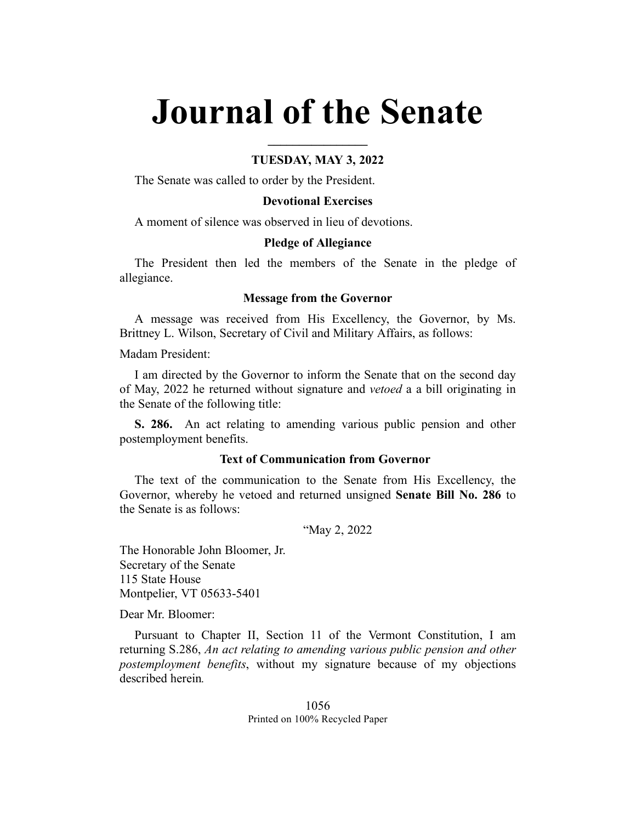# **Journal of the Senate**

## **TUESDAY, MAY 3, 2022**

**\_\_\_\_\_\_\_\_\_\_\_\_\_\_\_\_**

The Senate was called to order by the President.

## **Devotional Exercises**

A moment of silence was observed in lieu of devotions.

#### **Pledge of Allegiance**

The President then led the members of the Senate in the pledge of allegiance.

#### **Message from the Governor**

A message was received from His Excellency, the Governor, by Ms. Brittney L. Wilson, Secretary of Civil and Military Affairs, as follows:

Madam President:

I am directed by the Governor to inform the Senate that on the second day of May, 2022 he returned without signature and *vetoed* a a bill originating in the Senate of the following title:

**S. 286.** An act relating to amending various public pension and other postemployment benefits.

#### **Text of Communication from Governor**

The text of the communication to the Senate from His Excellency, the Governor, whereby he vetoed and returned unsigned **Senate Bill No. 286** to the Senate is as follows:

"May 2, 2022

The Honorable John Bloomer, Jr. Secretary of the Senate 115 State House Montpelier, VT 05633-5401

Dear Mr. Bloomer:

Pursuant to Chapter II, Section 11 of the Vermont Constitution, I am returning S.286, *An act relating to amending various public pension and other postemployment benefits*, without my signature because of my objections described herein*.*

> 1056 Printed on 100% Recycled Paper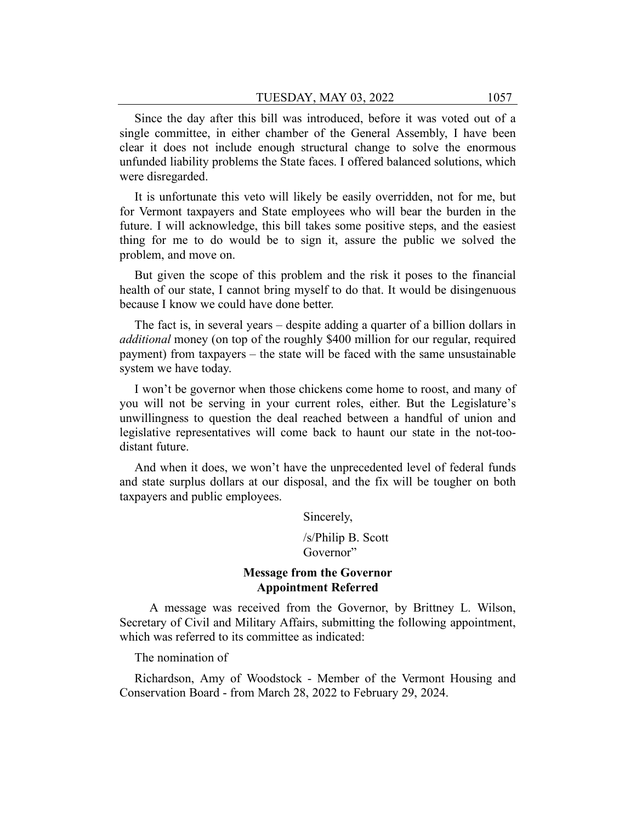Since the day after this bill was introduced, before it was voted out of a single committee, in either chamber of the General Assembly, I have been clear it does not include enough structural change to solve the enormous unfunded liability problems the State faces. I offered balanced solutions, which were disregarded.

It is unfortunate this veto will likely be easily overridden, not for me, but for Vermont taxpayers and State employees who will bear the burden in the future. I will acknowledge, this bill takes some positive steps, and the easiest thing for me to do would be to sign it, assure the public we solved the problem, and move on.

But given the scope of this problem and the risk it poses to the financial health of our state, I cannot bring myself to do that. It would be disingenuous because I know we could have done better.

The fact is, in several years – despite adding a quarter of a billion dollars in *additional* money (on top of the roughly \$400 million for our regular, required payment) from taxpayers – the state will be faced with the same unsustainable system we have today.

I won't be governor when those chickens come home to roost, and many of you will not be serving in your current roles, either. But the Legislature's unwillingness to question the deal reached between a handful of union and legislative representatives will come back to haunt our state in the not-toodistant future.

And when it does, we won't have the unprecedented level of federal funds and state surplus dollars at our disposal, and the fix will be tougher on both taxpayers and public employees.

Sincerely,

/s/Philip B. Scott Governor"

# **Message from the Governor Appointment Referred**

A message was received from the Governor, by Brittney L. Wilson, Secretary of Civil and Military Affairs, submitting the following appointment, which was referred to its committee as indicated:

The nomination of

Richardson, Amy of Woodstock - Member of the Vermont Housing and Conservation Board - from March 28, 2022 to February 29, 2024.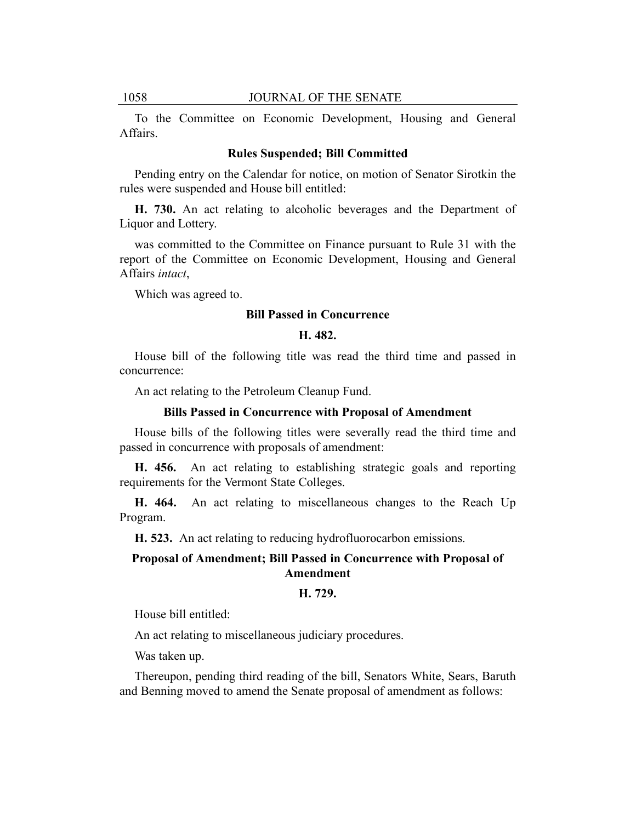To the Committee on Economic Development, Housing and General Affairs.

#### **Rules Suspended; Bill Committed**

Pending entry on the Calendar for notice, on motion of Senator Sirotkin the rules were suspended and House bill entitled:

**H. 730.** An act relating to alcoholic beverages and the Department of Liquor and Lottery.

was committed to the Committee on Finance pursuant to Rule 31 with the report of the Committee on Economic Development, Housing and General Affairs *intact*,

Which was agreed to.

#### **Bill Passed in Concurrence**

### **H. 482.**

House bill of the following title was read the third time and passed in concurrence:

An act relating to the Petroleum Cleanup Fund.

#### **Bills Passed in Concurrence with Proposal of Amendment**

House bills of the following titles were severally read the third time and passed in concurrence with proposals of amendment:

**H. 456.** An act relating to establishing strategic goals and reporting requirements for the Vermont State Colleges.

**H. 464.** An act relating to miscellaneous changes to the Reach Up Program.

**H. 523.** An act relating to reducing hydrofluorocarbon emissions.

# **Proposal of Amendment; Bill Passed in Concurrence with Proposal of Amendment**

#### **H. 729.**

House bill entitled:

An act relating to miscellaneous judiciary procedures.

Was taken up.

Thereupon, pending third reading of the bill, Senators White, Sears, Baruth and Benning moved to amend the Senate proposal of amendment as follows: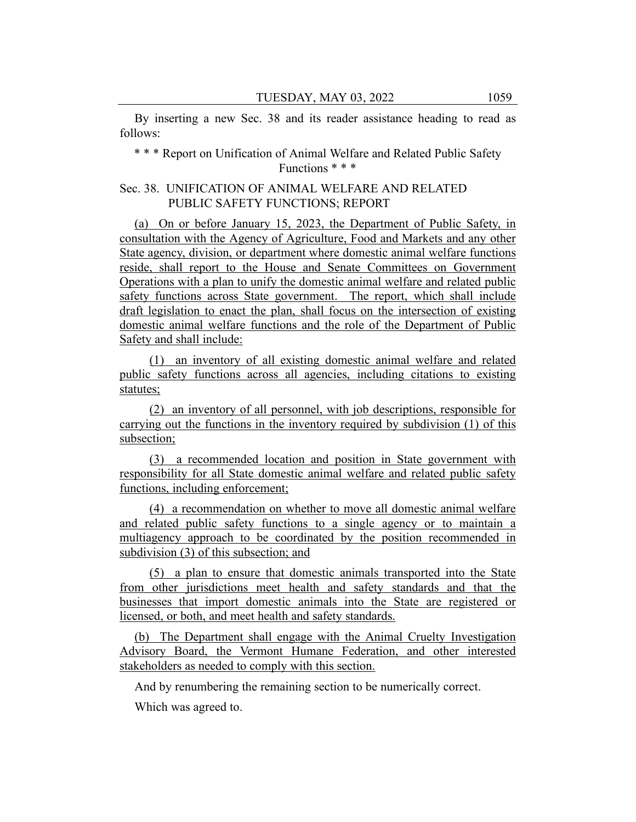By inserting a new Sec. 38 and its reader assistance heading to read as follows:

\* \* \* Report on Unification of Animal Welfare and Related Public Safety Functions \* \* \*

## Sec. 38. UNIFICATION OF ANIMAL WELFARE AND RELATED PUBLIC SAFETY FUNCTIONS; REPORT

(a) On or before January 15, 2023, the Department of Public Safety, in consultation with the Agency of Agriculture, Food and Markets and any other State agency, division, or department where domestic animal welfare functions reside, shall report to the House and Senate Committees on Government Operations with a plan to unify the domestic animal welfare and related public safety functions across State government. The report, which shall include draft legislation to enact the plan, shall focus on the intersection of existing domestic animal welfare functions and the role of the Department of Public Safety and shall include:

(1) an inventory of all existing domestic animal welfare and related public safety functions across all agencies, including citations to existing statutes;

(2) an inventory of all personnel, with job descriptions, responsible for carrying out the functions in the inventory required by subdivision (1) of this subsection;

(3) a recommended location and position in State government with responsibility for all State domestic animal welfare and related public safety functions, including enforcement;

(4) a recommendation on whether to move all domestic animal welfare and related public safety functions to a single agency or to maintain a multiagency approach to be coordinated by the position recommended in subdivision (3) of this subsection; and

(5) a plan to ensure that domestic animals transported into the State from other jurisdictions meet health and safety standards and that the businesses that import domestic animals into the State are registered or licensed, or both, and meet health and safety standards.

(b) The Department shall engage with the Animal Cruelty Investigation Advisory Board, the Vermont Humane Federation, and other interested stakeholders as needed to comply with this section.

And by renumbering the remaining section to be numerically correct.

Which was agreed to.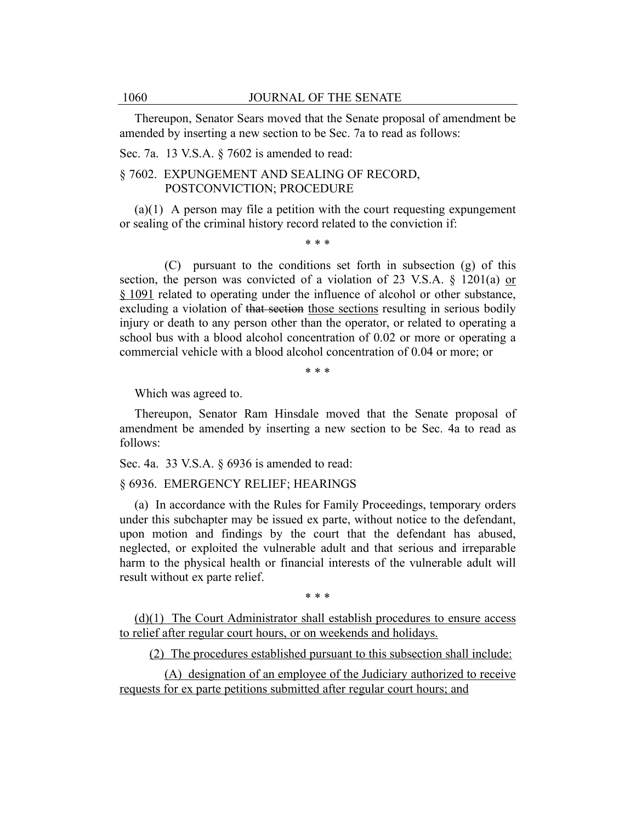Thereupon, Senator Sears moved that the Senate proposal of amendment be amended by inserting a new section to be Sec. 7a to read as follows:

Sec. 7a. 13 V.S.A. § 7602 is amended to read:

# § 7602. EXPUNGEMENT AND SEALING OF RECORD, POSTCONVICTION; PROCEDURE

 $(a)(1)$  A person may file a petition with the court requesting expungement or sealing of the criminal history record related to the conviction if:

\* \* \*

(C) pursuant to the conditions set forth in subsection (g) of this section, the person was convicted of a violation of 23 V.S.A. § 1201(a) or § 1091 related to operating under the influence of alcohol or other substance, excluding a violation of that section those sections resulting in serious bodily injury or death to any person other than the operator, or related to operating a school bus with a blood alcohol concentration of 0.02 or more or operating a commercial vehicle with a blood alcohol concentration of 0.04 or more; or

\* \* \*

Which was agreed to.

Thereupon, Senator Ram Hinsdale moved that the Senate proposal of amendment be amended by inserting a new section to be Sec. 4a to read as follows:

Sec. 4a. 33 V.S.A. § 6936 is amended to read:

## § 6936. EMERGENCY RELIEF; HEARINGS

(a) In accordance with the Rules for Family Proceedings, temporary orders under this subchapter may be issued ex parte, without notice to the defendant, upon motion and findings by the court that the defendant has abused, neglected, or exploited the vulnerable adult and that serious and irreparable harm to the physical health or financial interests of the vulnerable adult will result without ex parte relief.

\* \* \*

(d)(1) The Court Administrator shall establish procedures to ensure access to relief after regular court hours, or on weekends and holidays.

(2) The procedures established pursuant to this subsection shall include:

(A) designation of an employee of the Judiciary authorized to receive requests for ex parte petitions submitted after regular court hours; and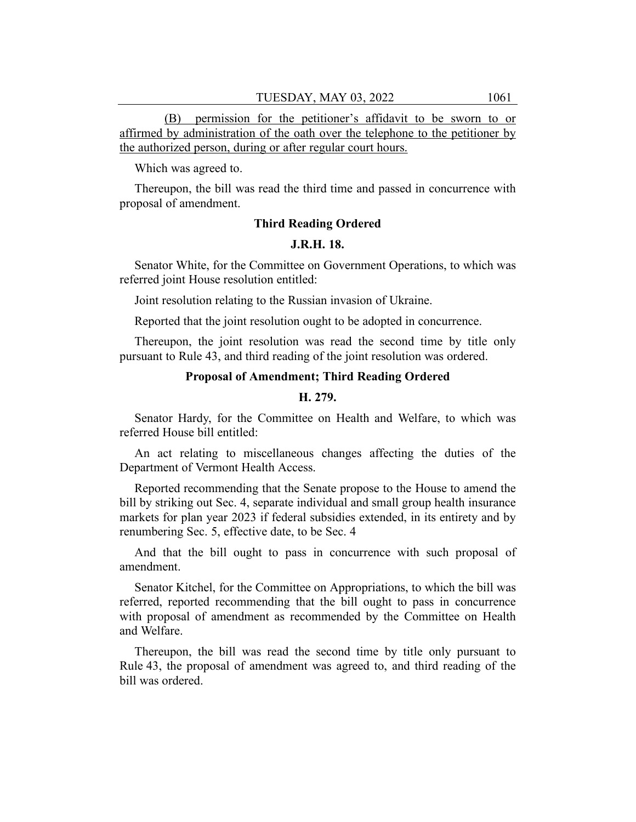(B) permission for the petitioner's affidavit to be sworn to or affirmed by administration of the oath over the telephone to the petitioner by the authorized person, during or after regular court hours.

Which was agreed to.

Thereupon, the bill was read the third time and passed in concurrence with proposal of amendment.

## **Third Reading Ordered**

#### **J.R.H. 18.**

Senator White, for the Committee on Government Operations, to which was referred joint House resolution entitled:

Joint resolution relating to the Russian invasion of Ukraine.

Reported that the joint resolution ought to be adopted in concurrence.

Thereupon, the joint resolution was read the second time by title only pursuant to Rule 43, and third reading of the joint resolution was ordered.

# **Proposal of Amendment; Third Reading Ordered**

#### **H. 279.**

Senator Hardy, for the Committee on Health and Welfare, to which was referred House bill entitled:

An act relating to miscellaneous changes affecting the duties of the Department of Vermont Health Access.

Reported recommending that the Senate propose to the House to amend the bill by striking out Sec. 4, separate individual and small group health insurance markets for plan year 2023 if federal subsidies extended, in its entirety and by renumbering Sec. 5, effective date, to be Sec. 4

And that the bill ought to pass in concurrence with such proposal of amendment.

Senator Kitchel, for the Committee on Appropriations, to which the bill was referred, reported recommending that the bill ought to pass in concurrence with proposal of amendment as recommended by the Committee on Health and Welfare.

Thereupon, the bill was read the second time by title only pursuant to Rule 43, the proposal of amendment was agreed to, and third reading of the bill was ordered.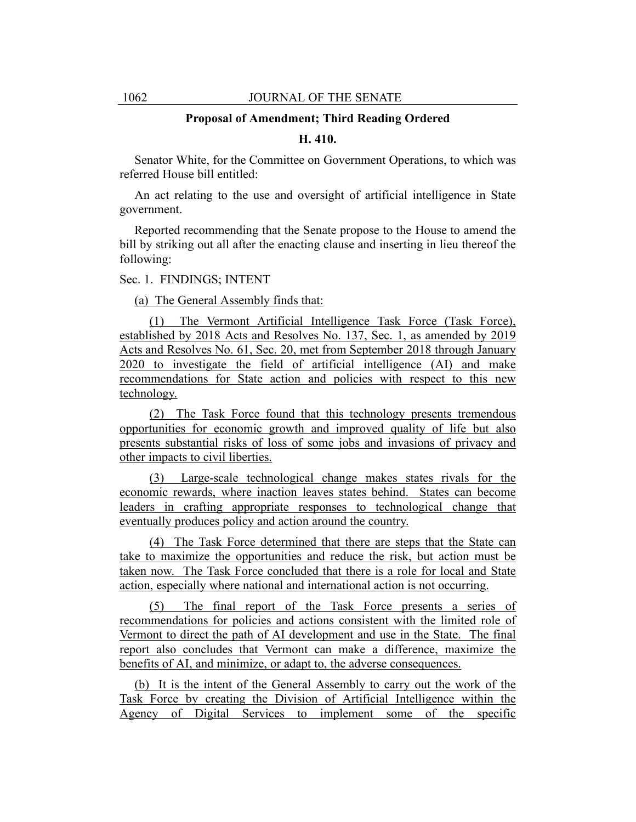#### **Proposal of Amendment; Third Reading Ordered**

#### **H. 410.**

Senator White, for the Committee on Government Operations, to which was referred House bill entitled:

An act relating to the use and oversight of artificial intelligence in State government.

Reported recommending that the Senate propose to the House to amend the bill by striking out all after the enacting clause and inserting in lieu thereof the following:

#### Sec. 1. FINDINGS; INTENT

(a) The General Assembly finds that:

(1) The Vermont Artificial Intelligence Task Force (Task Force), established by 2018 Acts and Resolves No. 137, Sec. 1, as amended by 2019 Acts and Resolves No. 61, Sec. 20, met from September 2018 through January 2020 to investigate the field of artificial intelligence (AI) and make recommendations for State action and policies with respect to this new technology.

(2) The Task Force found that this technology presents tremendous opportunities for economic growth and improved quality of life but also presents substantial risks of loss of some jobs and invasions of privacy and other impacts to civil liberties.

(3) Large-scale technological change makes states rivals for the economic rewards, where inaction leaves states behind. States can become leaders in crafting appropriate responses to technological change that eventually produces policy and action around the country.

(4) The Task Force determined that there are steps that the State can take to maximize the opportunities and reduce the risk, but action must be taken now. The Task Force concluded that there is a role for local and State action, especially where national and international action is not occurring.

(5) The final report of the Task Force presents a series of recommendations for policies and actions consistent with the limited role of Vermont to direct the path of AI development and use in the State. The final report also concludes that Vermont can make a difference, maximize the benefits of AI, and minimize, or adapt to, the adverse consequences.

(b) It is the intent of the General Assembly to carry out the work of the Task Force by creating the Division of Artificial Intelligence within the Agency of Digital Services to implement some of the specific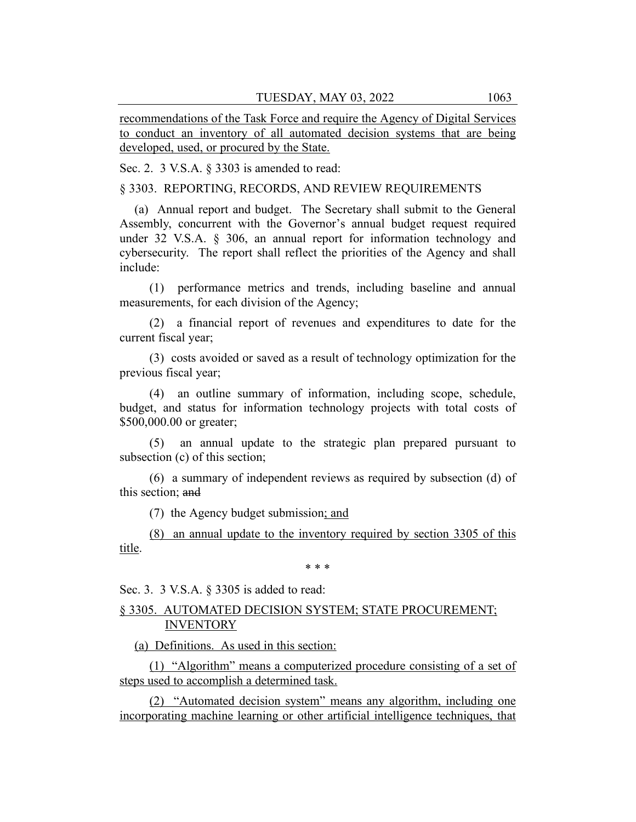recommendations of the Task Force and require the Agency of Digital Services to conduct an inventory of all automated decision systems that are being developed, used, or procured by the State.

Sec. 2. 3 V.S.A. § 3303 is amended to read:

§ 3303. REPORTING, RECORDS, AND REVIEW REQUIREMENTS

(a) Annual report and budget. The Secretary shall submit to the General Assembly, concurrent with the Governor's annual budget request required under 32 V.S.A. § 306, an annual report for information technology and cybersecurity. The report shall reflect the priorities of the Agency and shall include:

(1) performance metrics and trends, including baseline and annual measurements, for each division of the Agency;

(2) a financial report of revenues and expenditures to date for the current fiscal year;

(3) costs avoided or saved as a result of technology optimization for the previous fiscal year;

(4) an outline summary of information, including scope, schedule, budget, and status for information technology projects with total costs of \$500,000.00 or greater;

(5) an annual update to the strategic plan prepared pursuant to subsection (c) of this section;

(6) a summary of independent reviews as required by subsection (d) of this section; and

(7) the Agency budget submission; and

(8) an annual update to the inventory required by section 3305 of this title.

\* \* \*

Sec. 3. 3 V.S.A. § 3305 is added to read:

# § 3305. AUTOMATED DECISION SYSTEM; STATE PROCUREMENT; INVENTORY

(a) Definitions. As used in this section:

(1) "Algorithm" means a computerized procedure consisting of a set of steps used to accomplish a determined task.

(2) "Automated decision system" means any algorithm, including one incorporating machine learning or other artificial intelligence techniques, that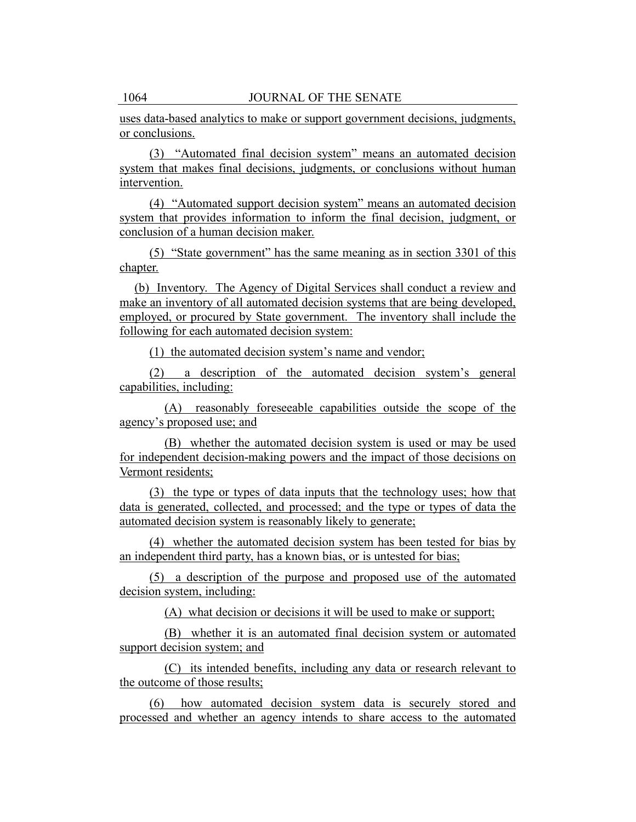uses data-based analytics to make or support government decisions, judgments, or conclusions.

(3) "Automated final decision system" means an automated decision system that makes final decisions, judgments, or conclusions without human intervention.

(4) "Automated support decision system" means an automated decision system that provides information to inform the final decision, judgment, or conclusion of a human decision maker.

(5) "State government" has the same meaning as in section 3301 of this chapter.

(b) Inventory. The Agency of Digital Services shall conduct a review and make an inventory of all automated decision systems that are being developed, employed, or procured by State government. The inventory shall include the following for each automated decision system:

(1) the automated decision system's name and vendor;

(2) a description of the automated decision system's general capabilities, including:

(A) reasonably foreseeable capabilities outside the scope of the agency's proposed use; and

(B) whether the automated decision system is used or may be used for independent decision-making powers and the impact of those decisions on Vermont residents;

(3) the type or types of data inputs that the technology uses; how that data is generated, collected, and processed; and the type or types of data the automated decision system is reasonably likely to generate;

(4) whether the automated decision system has been tested for bias by an independent third party, has a known bias, or is untested for bias;

(5) a description of the purpose and proposed use of the automated decision system, including:

(A) what decision or decisions it will be used to make or support;

(B) whether it is an automated final decision system or automated support decision system; and

(C) its intended benefits, including any data or research relevant to the outcome of those results;

(6) how automated decision system data is securely stored and processed and whether an agency intends to share access to the automated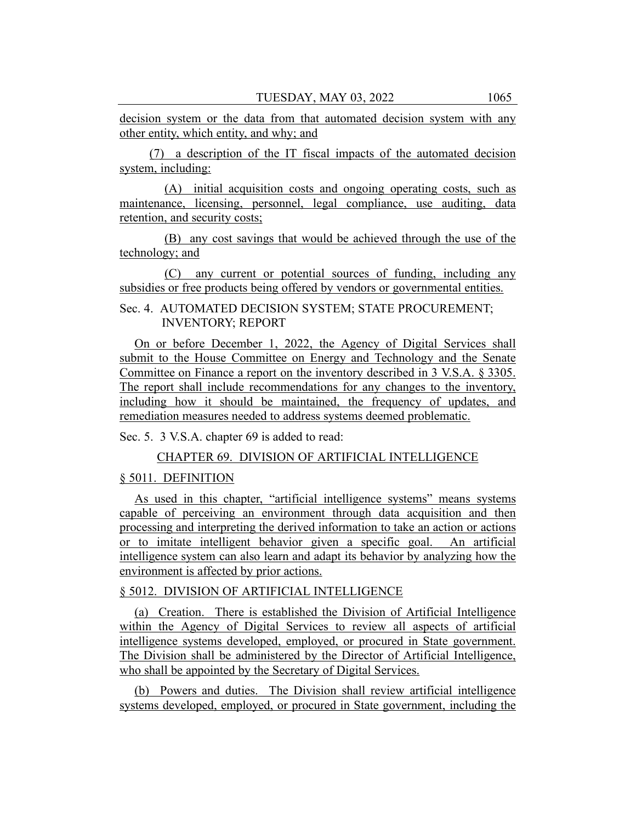decision system or the data from that automated decision system with any other entity, which entity, and why; and

(7) a description of the IT fiscal impacts of the automated decision system, including:

(A) initial acquisition costs and ongoing operating costs, such as maintenance, licensing, personnel, legal compliance, use auditing, data retention, and security costs;

(B) any cost savings that would be achieved through the use of the technology; and

(C) any current or potential sources of funding, including any subsidies or free products being offered by vendors or governmental entities.

Sec. 4. AUTOMATED DECISION SYSTEM; STATE PROCUREMENT; INVENTORY; REPORT

On or before December 1, 2022, the Agency of Digital Services shall submit to the House Committee on Energy and Technology and the Senate Committee on Finance a report on the inventory described in 3 V.S.A. § 3305. The report shall include recommendations for any changes to the inventory, including how it should be maintained, the frequency of updates, and remediation measures needed to address systems deemed problematic.

Sec. 5. 3 V.S.A. chapter 69 is added to read:

CHAPTER 69. DIVISION OF ARTIFICIAL INTELLIGENCE

## § 5011. DEFINITION

As used in this chapter, "artificial intelligence systems" means systems capable of perceiving an environment through data acquisition and then processing and interpreting the derived information to take an action or actions or to imitate intelligent behavior given a specific goal. An artificial intelligence system can also learn and adapt its behavior by analyzing how the environment is affected by prior actions.

§ 5012. DIVISION OF ARTIFICIAL INTELLIGENCE

(a) Creation. There is established the Division of Artificial Intelligence within the Agency of Digital Services to review all aspects of artificial intelligence systems developed, employed, or procured in State government. The Division shall be administered by the Director of Artificial Intelligence, who shall be appointed by the Secretary of Digital Services.

(b) Powers and duties. The Division shall review artificial intelligence systems developed, employed, or procured in State government, including the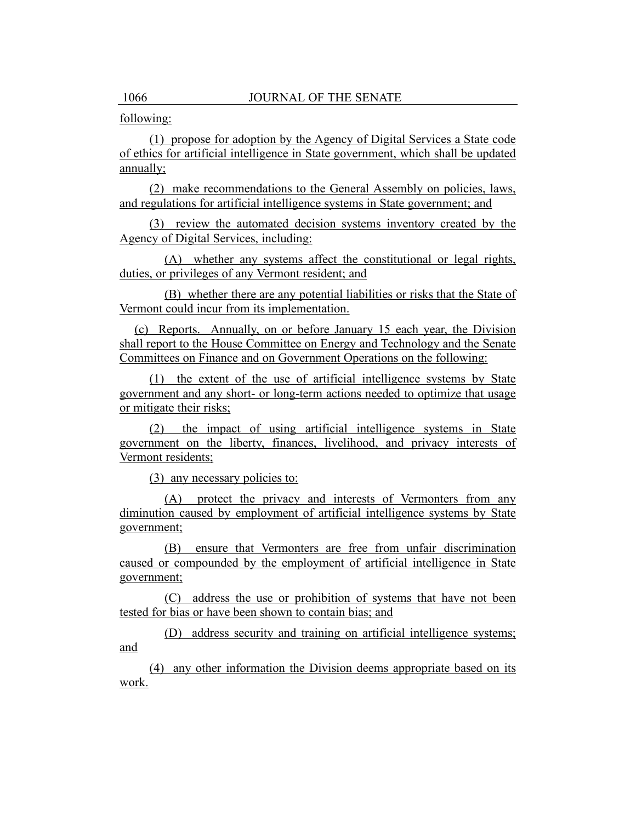## following:

(1) propose for adoption by the Agency of Digital Services a State code of ethics for artificial intelligence in State government, which shall be updated annually;

(2) make recommendations to the General Assembly on policies, laws, and regulations for artificial intelligence systems in State government; and

(3) review the automated decision systems inventory created by the Agency of Digital Services, including:

(A) whether any systems affect the constitutional or legal rights, duties, or privileges of any Vermont resident; and

(B) whether there are any potential liabilities or risks that the State of Vermont could incur from its implementation.

(c) Reports. Annually, on or before January 15 each year, the Division shall report to the House Committee on Energy and Technology and the Senate Committees on Finance and on Government Operations on the following:

(1) the extent of the use of artificial intelligence systems by State government and any short- or long-term actions needed to optimize that usage or mitigate their risks;

(2) the impact of using artificial intelligence systems in State government on the liberty, finances, livelihood, and privacy interests of Vermont residents;

(3) any necessary policies to:

(A) protect the privacy and interests of Vermonters from any diminution caused by employment of artificial intelligence systems by State government;

(B) ensure that Vermonters are free from unfair discrimination caused or compounded by the employment of artificial intelligence in State government;

(C) address the use or prohibition of systems that have not been tested for bias or have been shown to contain bias; and

(D) address security and training on artificial intelligence systems; and

(4) any other information the Division deems appropriate based on its work.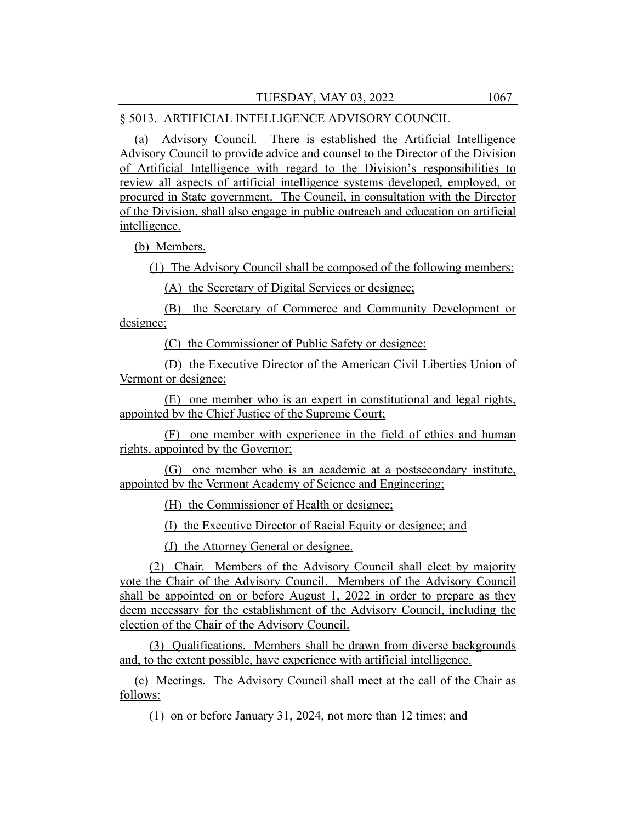#### § 5013. ARTIFICIAL INTELLIGENCE ADVISORY COUNCIL

(a) Advisory Council. There is established the Artificial Intelligence Advisory Council to provide advice and counsel to the Director of the Division of Artificial Intelligence with regard to the Division's responsibilities to review all aspects of artificial intelligence systems developed, employed, or procured in State government. The Council, in consultation with the Director of the Division, shall also engage in public outreach and education on artificial intelligence.

(b) Members.

(1) The Advisory Council shall be composed of the following members:

(A) the Secretary of Digital Services or designee;

(B) the Secretary of Commerce and Community Development or designee;

(C) the Commissioner of Public Safety or designee;

(D) the Executive Director of the American Civil Liberties Union of Vermont or designee;

(E) one member who is an expert in constitutional and legal rights, appointed by the Chief Justice of the Supreme Court;

(F) one member with experience in the field of ethics and human rights, appointed by the Governor;

(G) one member who is an academic at a postsecondary institute, appointed by the Vermont Academy of Science and Engineering;

(H) the Commissioner of Health or designee;

(I) the Executive Director of Racial Equity or designee; and

(J) the Attorney General or designee.

(2) Chair. Members of the Advisory Council shall elect by majority vote the Chair of the Advisory Council. Members of the Advisory Council shall be appointed on or before August 1, 2022 in order to prepare as they deem necessary for the establishment of the Advisory Council, including the election of the Chair of the Advisory Council.

(3) Qualifications. Members shall be drawn from diverse backgrounds and, to the extent possible, have experience with artificial intelligence.

(c) Meetings. The Advisory Council shall meet at the call of the Chair as follows:

(1) on or before January 31, 2024, not more than 12 times; and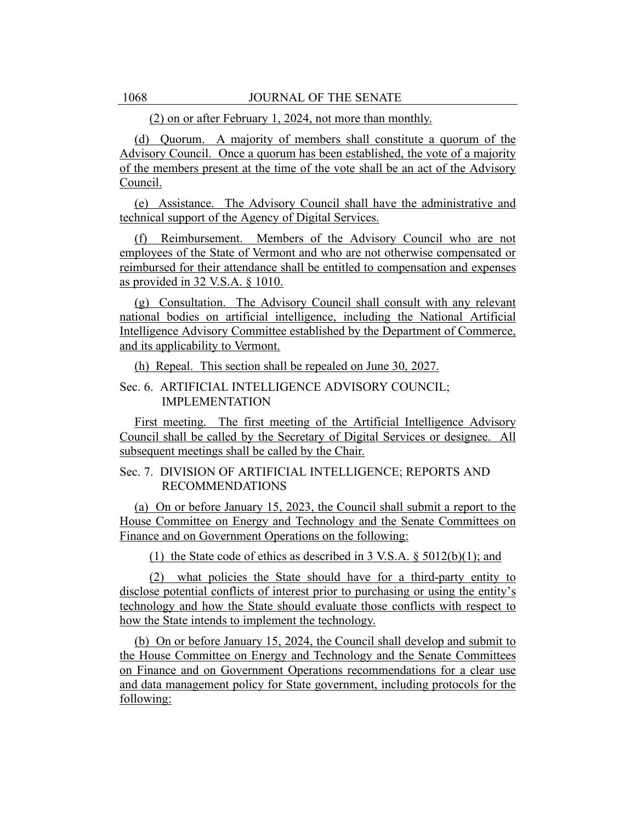(2) on or after February 1, 2024, not more than monthly.

(d) Quorum. A majority of members shall constitute a quorum of the Advisory Council. Once a quorum has been established, the vote of a majority of the members present at the time of the vote shall be an act of the Advisory Council.

(e) Assistance. The Advisory Council shall have the administrative and technical support of the Agency of Digital Services.

(f) Reimbursement. Members of the Advisory Council who are not employees of the State of Vermont and who are not otherwise compensated or reimbursed for their attendance shall be entitled to compensation and expenses as provided in 32 V.S.A. § 1010.

(g) Consultation. The Advisory Council shall consult with any relevant national bodies on artificial intelligence, including the National Artificial Intelligence Advisory Committee established by the Department of Commerce, and its applicability to Vermont.

(h) Repeal. This section shall be repealed on June 30, 2027.

# Sec. 6. ARTIFICIAL INTELLIGENCE ADVISORY COUNCIL; IMPLEMENTATION

First meeting. The first meeting of the Artificial Intelligence Advisory Council shall be called by the Secretary of Digital Services or designee. All subsequent meetings shall be called by the Chair.

# Sec. 7. DIVISION OF ARTIFICIAL INTELLIGENCE; REPORTS AND RECOMMENDATIONS

(a) On or before January 15, 2023, the Council shall submit a report to the House Committee on Energy and Technology and the Senate Committees on Finance and on Government Operations on the following:

(1) the State code of ethics as described in 3 V.S.A. § 5012(b)(1); and

(2) what policies the State should have for a third-party entity to disclose potential conflicts of interest prior to purchasing or using the entity's technology and how the State should evaluate those conflicts with respect to how the State intends to implement the technology.

(b) On or before January 15, 2024, the Council shall develop and submit to the House Committee on Energy and Technology and the Senate Committees on Finance and on Government Operations recommendations for a clear use and data management policy for State government, including protocols for the following: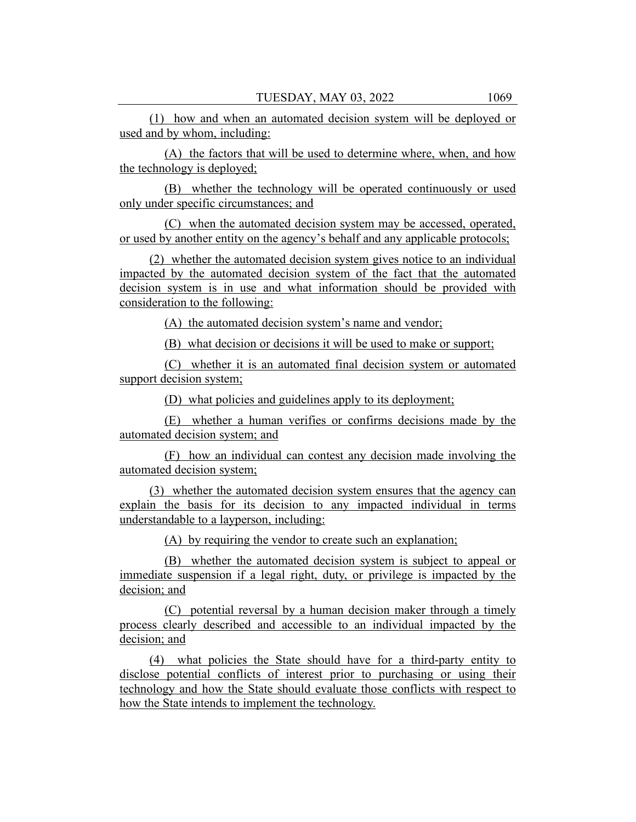(1) how and when an automated decision system will be deployed or used and by whom, including:

(A) the factors that will be used to determine where, when, and how the technology is deployed;

(B) whether the technology will be operated continuously or used only under specific circumstances; and

(C) when the automated decision system may be accessed, operated, or used by another entity on the agency's behalf and any applicable protocols;

(2) whether the automated decision system gives notice to an individual impacted by the automated decision system of the fact that the automated decision system is in use and what information should be provided with consideration to the following:

(A) the automated decision system's name and vendor;

(B) what decision or decisions it will be used to make or support;

(C) whether it is an automated final decision system or automated support decision system;

(D) what policies and guidelines apply to its deployment;

(E) whether a human verifies or confirms decisions made by the automated decision system; and

(F) how an individual can contest any decision made involving the automated decision system;

(3) whether the automated decision system ensures that the agency can explain the basis for its decision to any impacted individual in terms understandable to a layperson, including:

(A) by requiring the vendor to create such an explanation;

(B) whether the automated decision system is subject to appeal or immediate suspension if a legal right, duty, or privilege is impacted by the decision; and

(C) potential reversal by a human decision maker through a timely process clearly described and accessible to an individual impacted by the decision; and

(4) what policies the State should have for a third-party entity to disclose potential conflicts of interest prior to purchasing or using their technology and how the State should evaluate those conflicts with respect to how the State intends to implement the technology.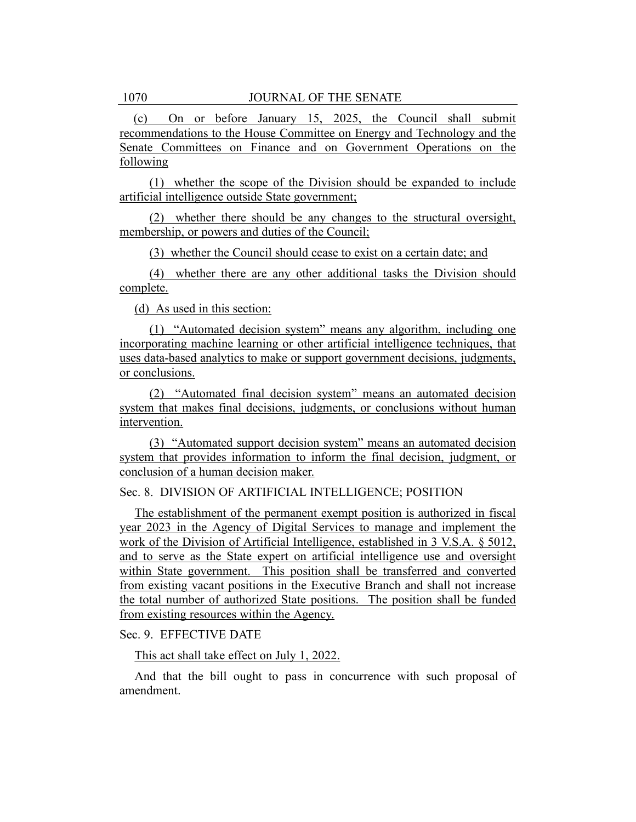(c) On or before January 15, 2025, the Council shall submit recommendations to the House Committee on Energy and Technology and the Senate Committees on Finance and on Government Operations on the following

(1) whether the scope of the Division should be expanded to include artificial intelligence outside State government;

(2) whether there should be any changes to the structural oversight, membership, or powers and duties of the Council;

(3) whether the Council should cease to exist on a certain date; and

(4) whether there are any other additional tasks the Division should complete.

(d) As used in this section:

(1) "Automated decision system" means any algorithm, including one incorporating machine learning or other artificial intelligence techniques, that uses data-based analytics to make or support government decisions, judgments, or conclusions.

(2) "Automated final decision system" means an automated decision system that makes final decisions, judgments, or conclusions without human intervention.

(3) "Automated support decision system" means an automated decision system that provides information to inform the final decision, judgment, or conclusion of a human decision maker.

# Sec. 8. DIVISION OF ARTIFICIAL INTELLIGENCE; POSITION

The establishment of the permanent exempt position is authorized in fiscal year 2023 in the Agency of Digital Services to manage and implement the work of the Division of Artificial Intelligence, established in 3 V.S.A. § 5012, and to serve as the State expert on artificial intelligence use and oversight within State government. This position shall be transferred and converted from existing vacant positions in the Executive Branch and shall not increase the total number of authorized State positions. The position shall be funded from existing resources within the Agency.

Sec. 9. EFFECTIVE DATE

This act shall take effect on July 1, 2022.

And that the bill ought to pass in concurrence with such proposal of amendment.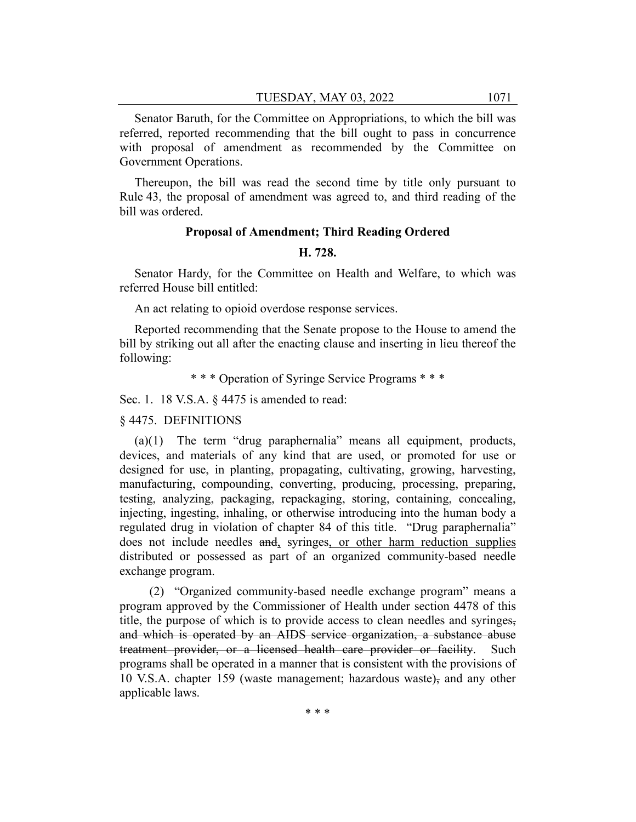Senator Baruth, for the Committee on Appropriations, to which the bill was referred, reported recommending that the bill ought to pass in concurrence with proposal of amendment as recommended by the Committee on Government Operations.

Thereupon, the bill was read the second time by title only pursuant to Rule 43, the proposal of amendment was agreed to, and third reading of the bill was ordered.

#### **Proposal of Amendment; Third Reading Ordered**

#### **H. 728.**

Senator Hardy, for the Committee on Health and Welfare, to which was referred House bill entitled:

An act relating to opioid overdose response services.

Reported recommending that the Senate propose to the House to amend the bill by striking out all after the enacting clause and inserting in lieu thereof the following:

\* \* \* Operation of Syringe Service Programs \* \* \*

Sec. 1. 18 V.S.A. § 4475 is amended to read:

§ 4475. DEFINITIONS

(a)(1) The term "drug paraphernalia" means all equipment, products, devices, and materials of any kind that are used, or promoted for use or designed for use, in planting, propagating, cultivating, growing, harvesting, manufacturing, compounding, converting, producing, processing, preparing, testing, analyzing, packaging, repackaging, storing, containing, concealing, injecting, ingesting, inhaling, or otherwise introducing into the human body a regulated drug in violation of chapter 84 of this title. "Drug paraphernalia" does not include needles and, syringes, or other harm reduction supplies distributed or possessed as part of an organized community-based needle exchange program.

(2) "Organized community-based needle exchange program" means a program approved by the Commissioner of Health under section 4478 of this title, the purpose of which is to provide access to clean needles and syringes, and which is operated by an AIDS service organization, a substance abuse treatment provider, or a licensed health care provider or facility. programs shall be operated in a manner that is consistent with the provisions of 10 V.S.A. chapter 159 (waste management; hazardous waste), and any other applicable laws.

\* \* \*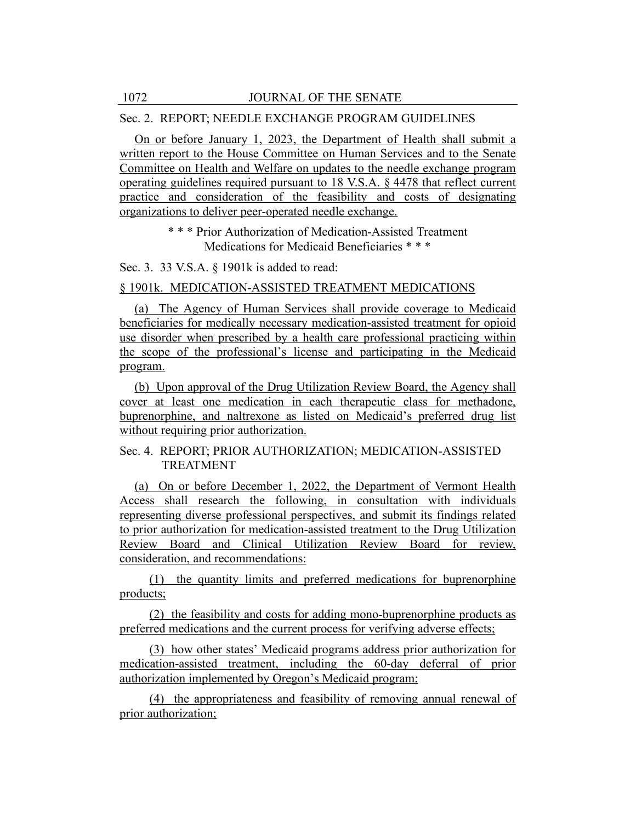## Sec. 2. REPORT; NEEDLE EXCHANGE PROGRAM GUIDELINES

On or before January 1, 2023, the Department of Health shall submit a written report to the House Committee on Human Services and to the Senate Committee on Health and Welfare on updates to the needle exchange program operating guidelines required pursuant to 18 V.S.A. § 4478 that reflect current practice and consideration of the feasibility and costs of designating organizations to deliver peer-operated needle exchange.

> \* \* \* Prior Authorization of Medication-Assisted Treatment Medications for Medicaid Beneficiaries \* \* \*

Sec. 3. 33 V.S.A. § 1901k is added to read:

## § 1901k. MEDICATION-ASSISTED TREATMENT MEDICATIONS

(a) The Agency of Human Services shall provide coverage to Medicaid beneficiaries for medically necessary medication-assisted treatment for opioid use disorder when prescribed by a health care professional practicing within the scope of the professional's license and participating in the Medicaid program.

(b) Upon approval of the Drug Utilization Review Board, the Agency shall cover at least one medication in each therapeutic class for methadone, buprenorphine, and naltrexone as listed on Medicaid's preferred drug list without requiring prior authorization.

# Sec. 4. REPORT; PRIOR AUTHORIZATION; MEDICATION-ASSISTED TREATMENT

(a) On or before December 1, 2022, the Department of Vermont Health Access shall research the following, in consultation with individuals representing diverse professional perspectives, and submit its findings related to prior authorization for medication-assisted treatment to the Drug Utilization Review Board and Clinical Utilization Review Board for review, consideration, and recommendations:

(1) the quantity limits and preferred medications for buprenorphine products;

(2) the feasibility and costs for adding mono-buprenorphine products as preferred medications and the current process for verifying adverse effects;

(3) how other states' Medicaid programs address prior authorization for medication-assisted treatment, including the 60-day deferral of prior authorization implemented by Oregon's Medicaid program;

(4) the appropriateness and feasibility of removing annual renewal of prior authorization;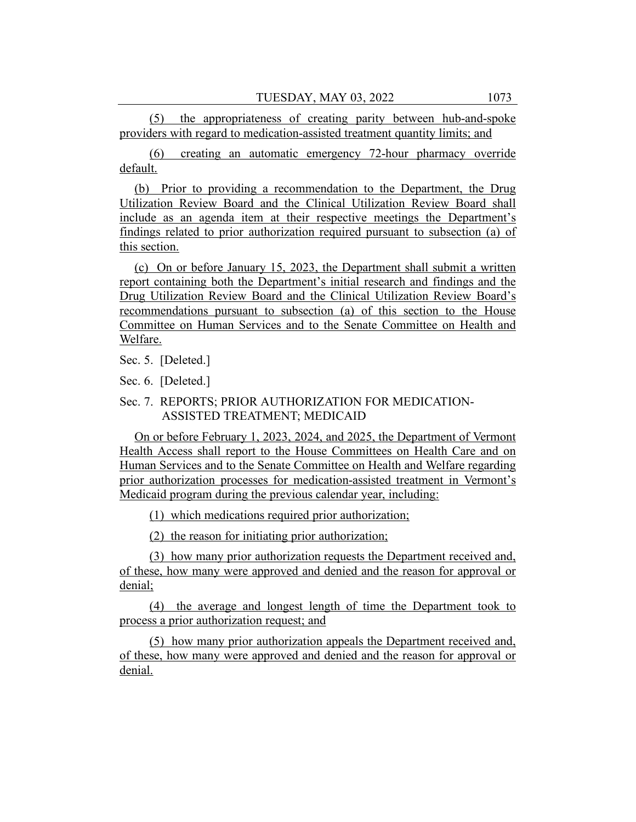(5) the appropriateness of creating parity between hub-and-spoke providers with regard to medication-assisted treatment quantity limits; and

(6) creating an automatic emergency 72-hour pharmacy override default.

(b) Prior to providing a recommendation to the Department, the Drug Utilization Review Board and the Clinical Utilization Review Board shall include as an agenda item at their respective meetings the Department's findings related to prior authorization required pursuant to subsection (a) of this section.

(c) On or before January 15, 2023, the Department shall submit a written report containing both the Department's initial research and findings and the Drug Utilization Review Board and the Clinical Utilization Review Board's recommendations pursuant to subsection (a) of this section to the House Committee on Human Services and to the Senate Committee on Health and Welfare.

Sec. 5. [Deleted.]

Sec. 6. [Deleted.]

Sec. 7. REPORTS; PRIOR AUTHORIZATION FOR MEDICATION-ASSISTED TREATMENT; MEDICAID

On or before February 1, 2023, 2024, and 2025, the Department of Vermont Health Access shall report to the House Committees on Health Care and on Human Services and to the Senate Committee on Health and Welfare regarding prior authorization processes for medication-assisted treatment in Vermont's Medicaid program during the previous calendar year, including:

(1) which medications required prior authorization;

(2) the reason for initiating prior authorization;

(3) how many prior authorization requests the Department received and, of these, how many were approved and denied and the reason for approval or denial;

(4) the average and longest length of time the Department took to process a prior authorization request; and

(5) how many prior authorization appeals the Department received and, of these, how many were approved and denied and the reason for approval or denial.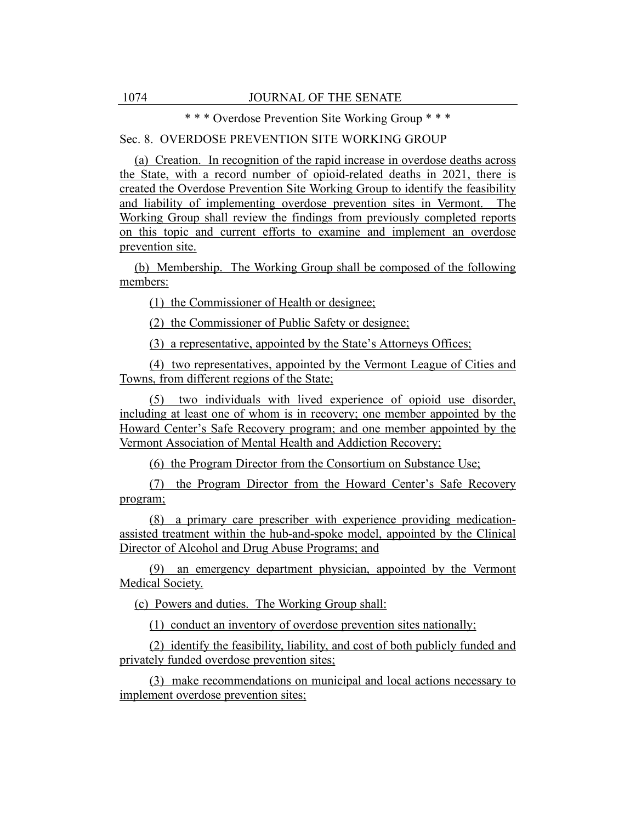\* \* \* Overdose Prevention Site Working Group \* \* \*

# Sec. 8. OVERDOSE PREVENTION SITE WORKING GROUP

(a) Creation. In recognition of the rapid increase in overdose deaths across the State, with a record number of opioid-related deaths in 2021, there is created the Overdose Prevention Site Working Group to identify the feasibility and liability of implementing overdose prevention sites in Vermont. The Working Group shall review the findings from previously completed reports on this topic and current efforts to examine and implement an overdose prevention site.

(b) Membership. The Working Group shall be composed of the following members:

(1) the Commissioner of Health or designee;

(2) the Commissioner of Public Safety or designee;

(3) a representative, appointed by the State's Attorneys Offices;

(4) two representatives, appointed by the Vermont League of Cities and Towns, from different regions of the State;

(5) two individuals with lived experience of opioid use disorder, including at least one of whom is in recovery; one member appointed by the Howard Center's Safe Recovery program; and one member appointed by the Vermont Association of Mental Health and Addiction Recovery;

(6) the Program Director from the Consortium on Substance Use;

(7) the Program Director from the Howard Center's Safe Recovery program;

(8) a primary care prescriber with experience providing medicationassisted treatment within the hub-and-spoke model, appointed by the Clinical Director of Alcohol and Drug Abuse Programs; and

(9) an emergency department physician, appointed by the Vermont Medical Society.

(c) Powers and duties. The Working Group shall:

(1) conduct an inventory of overdose prevention sites nationally;

(2) identify the feasibility, liability, and cost of both publicly funded and privately funded overdose prevention sites;

(3) make recommendations on municipal and local actions necessary to implement overdose prevention sites;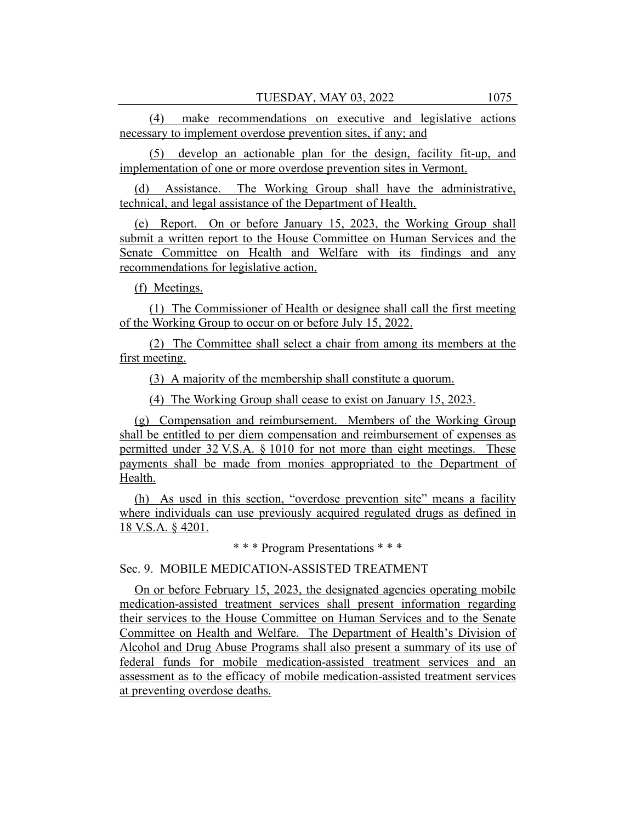(4) make recommendations on executive and legislative actions necessary to implement overdose prevention sites, if any; and

(5) develop an actionable plan for the design, facility fit-up, and implementation of one or more overdose prevention sites in Vermont.

(d) Assistance. The Working Group shall have the administrative, technical, and legal assistance of the Department of Health.

(e) Report. On or before January 15, 2023, the Working Group shall submit a written report to the House Committee on Human Services and the Senate Committee on Health and Welfare with its findings and any recommendations for legislative action.

(f) Meetings.

(1) The Commissioner of Health or designee shall call the first meeting of the Working Group to occur on or before July 15, 2022.

(2) The Committee shall select a chair from among its members at the first meeting.

(3) A majority of the membership shall constitute a quorum.

(4) The Working Group shall cease to exist on January 15, 2023.

(g) Compensation and reimbursement. Members of the Working Group shall be entitled to per diem compensation and reimbursement of expenses as permitted under 32 V.S.A. § 1010 for not more than eight meetings. These payments shall be made from monies appropriated to the Department of Health.

(h) As used in this section, "overdose prevention site" means a facility where individuals can use previously acquired regulated drugs as defined in 18 V.S.A. § 4201.

\* \* \* Program Presentations \* \* \*

Sec. 9. MOBILE MEDICATION-ASSISTED TREATMENT

On or before February 15, 2023, the designated agencies operating mobile medication-assisted treatment services shall present information regarding their services to the House Committee on Human Services and to the Senate Committee on Health and Welfare. The Department of Health's Division of Alcohol and Drug Abuse Programs shall also present a summary of its use of federal funds for mobile medication-assisted treatment services and an assessment as to the efficacy of mobile medication-assisted treatment services at preventing overdose deaths.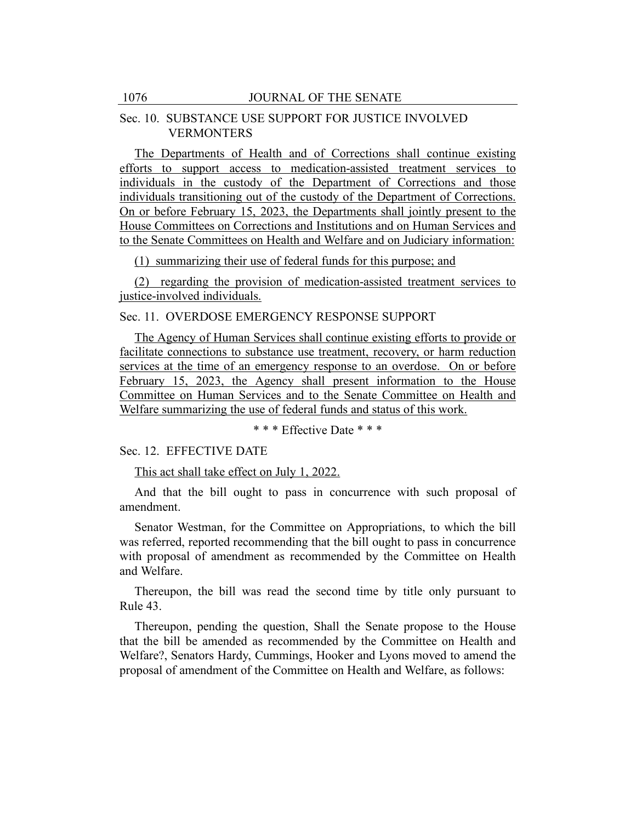## Sec. 10. SUBSTANCE USE SUPPORT FOR JUSTICE INVOLVED VERMONTERS

The Departments of Health and of Corrections shall continue existing efforts to support access to medication-assisted treatment services to individuals in the custody of the Department of Corrections and those individuals transitioning out of the custody of the Department of Corrections. On or before February 15, 2023, the Departments shall jointly present to the House Committees on Corrections and Institutions and on Human Services and to the Senate Committees on Health and Welfare and on Judiciary information:

(1) summarizing their use of federal funds for this purpose; and

(2) regarding the provision of medication-assisted treatment services to justice-involved individuals.

Sec. 11. OVERDOSE EMERGENCY RESPONSE SUPPORT

The Agency of Human Services shall continue existing efforts to provide or facilitate connections to substance use treatment, recovery, or harm reduction services at the time of an emergency response to an overdose. On or before February 15, 2023, the Agency shall present information to the House Committee on Human Services and to the Senate Committee on Health and Welfare summarizing the use of federal funds and status of this work.

\* \* \* Effective Date \* \* \*

Sec. 12. EFFECTIVE DATE

This act shall take effect on July 1, 2022.

And that the bill ought to pass in concurrence with such proposal of amendment.

Senator Westman, for the Committee on Appropriations, to which the bill was referred, reported recommending that the bill ought to pass in concurrence with proposal of amendment as recommended by the Committee on Health and Welfare.

Thereupon, the bill was read the second time by title only pursuant to Rule 43.

Thereupon, pending the question, Shall the Senate propose to the House that the bill be amended as recommended by the Committee on Health and Welfare?, Senators Hardy, Cummings, Hooker and Lyons moved to amend the proposal of amendment of the Committee on Health and Welfare, as follows: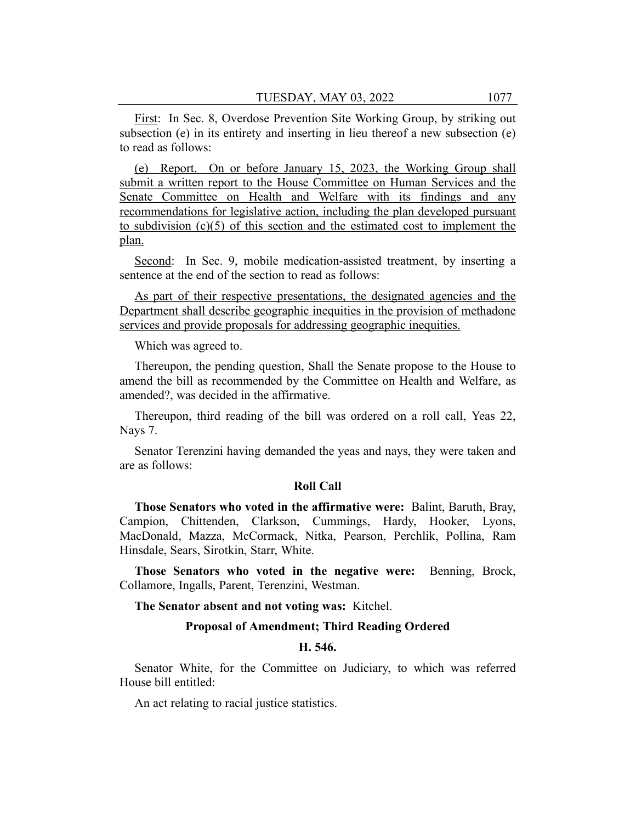First: In Sec. 8, Overdose Prevention Site Working Group, by striking out subsection (e) in its entirety and inserting in lieu thereof a new subsection (e) to read as follows:

(e) Report. On or before January 15, 2023, the Working Group shall submit a written report to the House Committee on Human Services and the Senate Committee on Health and Welfare with its findings and any recommendations for legislative action, including the plan developed pursuant to subdivision (c)(5) of this section and the estimated cost to implement the plan.

Second: In Sec. 9, mobile medication-assisted treatment, by inserting a sentence at the end of the section to read as follows:

As part of their respective presentations, the designated agencies and the Department shall describe geographic inequities in the provision of methadone services and provide proposals for addressing geographic inequities.

Which was agreed to.

Thereupon, the pending question, Shall the Senate propose to the House to amend the bill as recommended by the Committee on Health and Welfare, as amended?, was decided in the affirmative.

Thereupon, third reading of the bill was ordered on a roll call, Yeas 22, Nays 7.

Senator Terenzini having demanded the yeas and nays, they were taken and are as follows:

## **Roll Call**

**Those Senators who voted in the affirmative were:** Balint, Baruth, Bray, Campion, Chittenden, Clarkson, Cummings, Hardy, Hooker, Lyons, MacDonald, Mazza, McCormack, Nitka, Pearson, Perchlik, Pollina, Ram Hinsdale, Sears, Sirotkin, Starr, White.

**Those Senators who voted in the negative were:** Benning, Brock, Collamore, Ingalls, Parent, Terenzini, Westman.

**The Senator absent and not voting was:** Kitchel.

#### **Proposal of Amendment; Third Reading Ordered**

#### **H. 546.**

Senator White, for the Committee on Judiciary, to which was referred House bill entitled:

An act relating to racial justice statistics.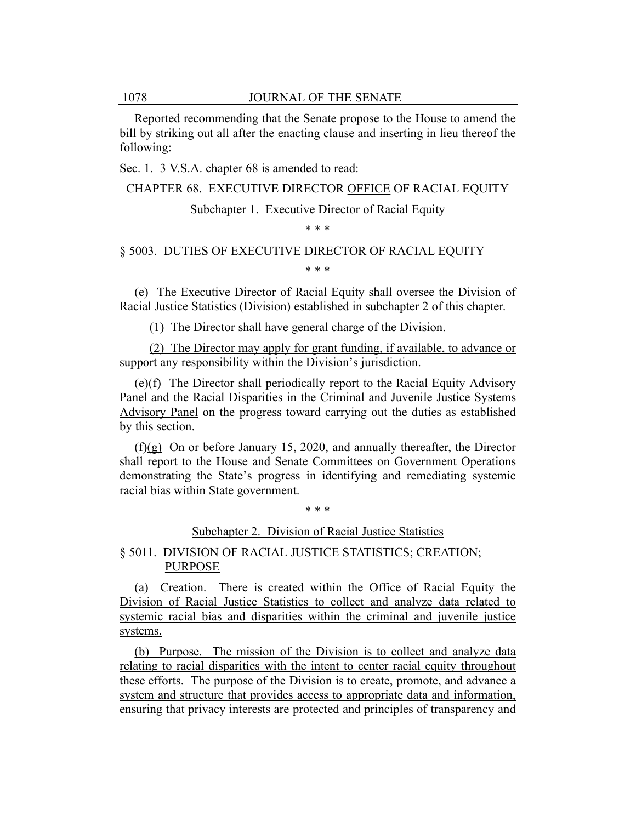Reported recommending that the Senate propose to the House to amend the bill by striking out all after the enacting clause and inserting in lieu thereof the following:

Sec. 1. 3 V.S.A. chapter 68 is amended to read:

CHAPTER 68. EXECUTIVE DIRECTOR OFFICE OF RACIAL EQUITY

## Subchapter 1. Executive Director of Racial Equity

\* \* \*

§ 5003. DUTIES OF EXECUTIVE DIRECTOR OF RACIAL EQUITY

\* \* \*

(e) The Executive Director of Racial Equity shall oversee the Division of Racial Justice Statistics (Division) established in subchapter 2 of this chapter.

(1) The Director shall have general charge of the Division.

(2) The Director may apply for grant funding, if available, to advance or support any responsibility within the Division's jurisdiction.

(e)(f) The Director shall periodically report to the Racial Equity Advisory Panel and the Racial Disparities in the Criminal and Juvenile Justice Systems Advisory Panel on the progress toward carrying out the duties as established by this section.

 $(f)(g)$  On or before January 15, 2020, and annually thereafter, the Director shall report to the House and Senate Committees on Government Operations demonstrating the State's progress in identifying and remediating systemic racial bias within State government.

\* \* \*

Subchapter 2. Division of Racial Justice Statistics

## § 5011. DIVISION OF RACIAL JUSTICE STATISTICS; CREATION; PURPOSE

(a) Creation. There is created within the Office of Racial Equity the Division of Racial Justice Statistics to collect and analyze data related to systemic racial bias and disparities within the criminal and juvenile justice systems.

(b) Purpose. The mission of the Division is to collect and analyze data relating to racial disparities with the intent to center racial equity throughout these efforts. The purpose of the Division is to create, promote, and advance a system and structure that provides access to appropriate data and information, ensuring that privacy interests are protected and principles of transparency and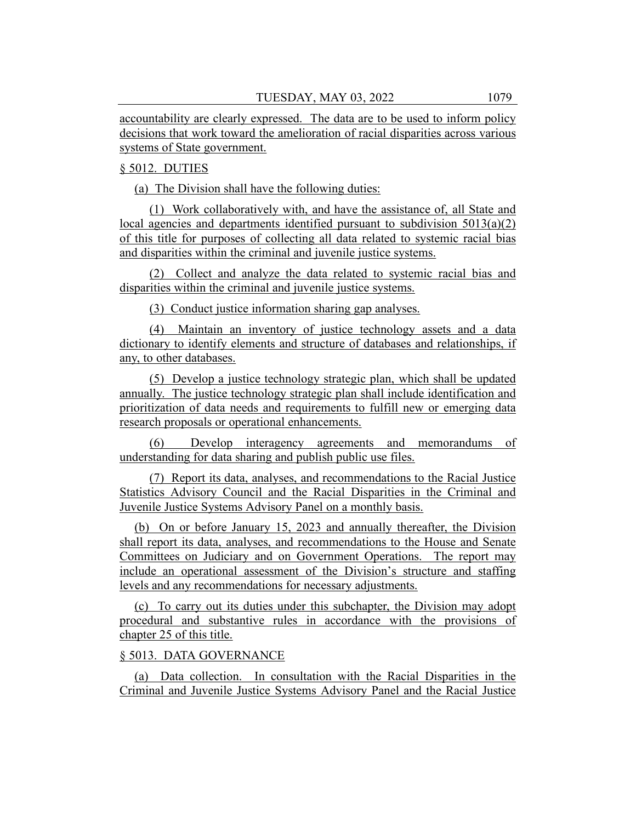accountability are clearly expressed. The data are to be used to inform policy decisions that work toward the amelioration of racial disparities across various systems of State government.

# § 5012. DUTIES

(a) The Division shall have the following duties:

(1) Work collaboratively with, and have the assistance of, all State and local agencies and departments identified pursuant to subdivision 5013(a)(2) of this title for purposes of collecting all data related to systemic racial bias and disparities within the criminal and juvenile justice systems.

(2) Collect and analyze the data related to systemic racial bias and disparities within the criminal and juvenile justice systems.

(3) Conduct justice information sharing gap analyses.

(4) Maintain an inventory of justice technology assets and a data dictionary to identify elements and structure of databases and relationships, if any, to other databases.

(5) Develop a justice technology strategic plan, which shall be updated annually. The justice technology strategic plan shall include identification and prioritization of data needs and requirements to fulfill new or emerging data research proposals or operational enhancements.

(6) Develop interagency agreements and memorandums of understanding for data sharing and publish public use files.

(7) Report its data, analyses, and recommendations to the Racial Justice Statistics Advisory Council and the Racial Disparities in the Criminal and Juvenile Justice Systems Advisory Panel on a monthly basis.

(b) On or before January 15, 2023 and annually thereafter, the Division shall report its data, analyses, and recommendations to the House and Senate Committees on Judiciary and on Government Operations. The report may include an operational assessment of the Division's structure and staffing levels and any recommendations for necessary adjustments.

(c) To carry out its duties under this subchapter, the Division may adopt procedural and substantive rules in accordance with the provisions of chapter 25 of this title.

#### § 5013. DATA GOVERNANCE

(a) Data collection. In consultation with the Racial Disparities in the Criminal and Juvenile Justice Systems Advisory Panel and the Racial Justice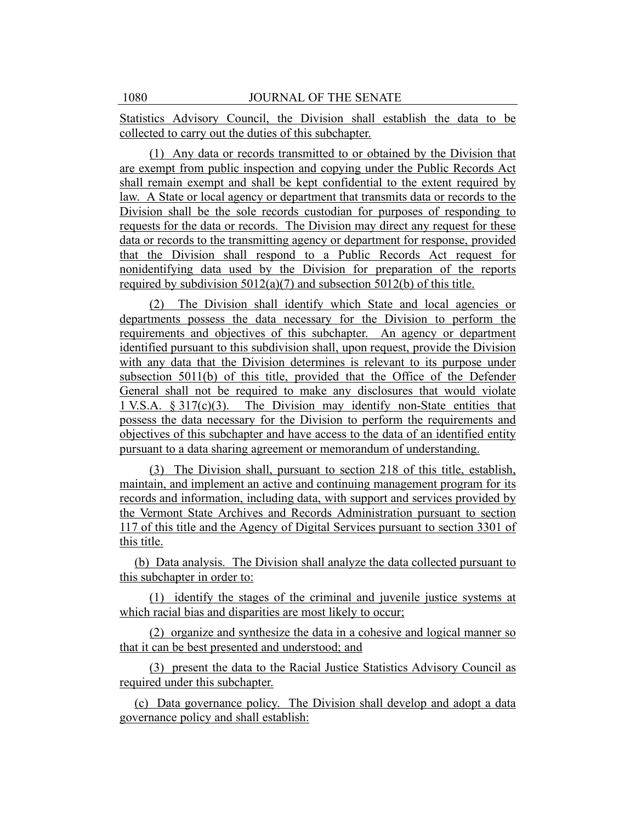Statistics Advisory Council, the Division shall establish the data to be collected to carry out the duties of this subchapter.

(1) Any data or records transmitted to or obtained by the Division that are exempt from public inspection and copying under the Public Records Act shall remain exempt and shall be kept confidential to the extent required by law. A State or local agency or department that transmits data or records to the Division shall be the sole records custodian for purposes of responding to requests for the data or records. The Division may direct any request for these data or records to the transmitting agency or department for response, provided that the Division shall respond to a Public Records Act request for nonidentifying data used by the Division for preparation of the reports required by subdivision  $5012(a)(7)$  and subsection  $5012(b)$  of this title.

(2) The Division shall identify which State and local agencies or departments possess the data necessary for the Division to perform the requirements and objectives of this subchapter. An agency or department identified pursuant to this subdivision shall, upon request, provide the Division with any data that the Division determines is relevant to its purpose under subsection 5011(b) of this title, provided that the Office of the Defender General shall not be required to make any disclosures that would violate 1 V.S.A.  $\S 317(c)(3)$ . The Division may identify non-State entities that possess the data necessary for the Division to perform the requirements and objectives of this subchapter and have access to the data of an identified entity pursuant to a data sharing agreement or memorandum of understanding.

(3) The Division shall, pursuant to section 218 of this title, establish, maintain, and implement an active and continuing management program for its records and information, including data, with support and services provided by the Vermont State Archives and Records Administration pursuant to section 117 of this title and the Agency of Digital Services pursuant to section 3301 of this title.

(b) Data analysis. The Division shall analyze the data collected pursuant to this subchapter in order to:

(1) identify the stages of the criminal and juvenile justice systems at which racial bias and disparities are most likely to occur;

(2) organize and synthesize the data in a cohesive and logical manner so that it can be best presented and understood; and

(3) present the data to the Racial Justice Statistics Advisory Council as required under this subchapter.

(c) Data governance policy. The Division shall develop and adopt a data governance policy and shall establish: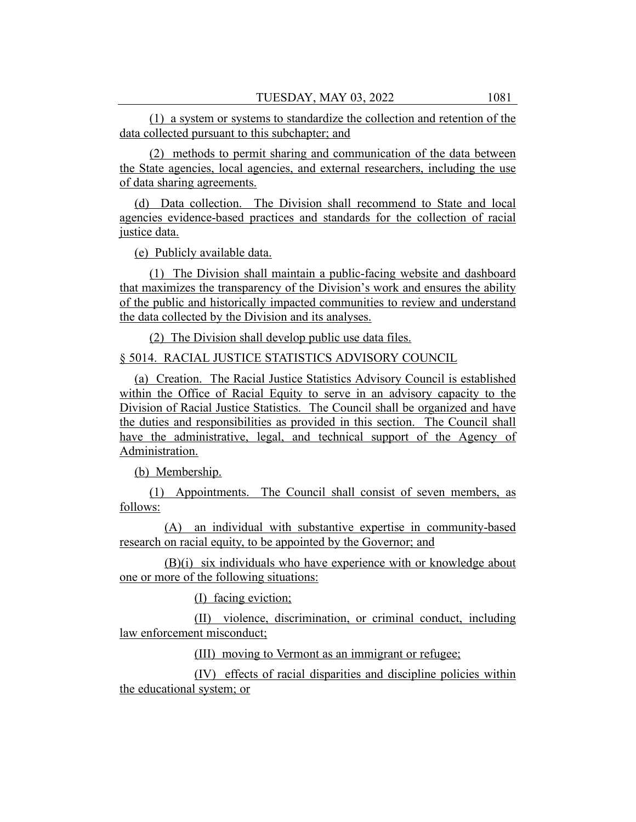(1) a system or systems to standardize the collection and retention of the data collected pursuant to this subchapter; and

(2) methods to permit sharing and communication of the data between the State agencies, local agencies, and external researchers, including the use of data sharing agreements.

(d) Data collection. The Division shall recommend to State and local agencies evidence-based practices and standards for the collection of racial justice data.

(e) Publicly available data.

(1) The Division shall maintain a public-facing website and dashboard that maximizes the transparency of the Division's work and ensures the ability of the public and historically impacted communities to review and understand the data collected by the Division and its analyses.

(2) The Division shall develop public use data files.

## § 5014. RACIAL JUSTICE STATISTICS ADVISORY COUNCIL

(a) Creation. The Racial Justice Statistics Advisory Council is established within the Office of Racial Equity to serve in an advisory capacity to the Division of Racial Justice Statistics. The Council shall be organized and have the duties and responsibilities as provided in this section. The Council shall have the administrative, legal, and technical support of the Agency of Administration.

(b) Membership.

(1) Appointments. The Council shall consist of seven members, as follows:

(A) an individual with substantive expertise in community-based research on racial equity, to be appointed by the Governor; and

(B)(i) six individuals who have experience with or knowledge about one or more of the following situations:

(I) facing eviction;

(II) violence, discrimination, or criminal conduct, including law enforcement misconduct;

(III) moving to Vermont as an immigrant or refugee;

(IV) effects of racial disparities and discipline policies within the educational system; or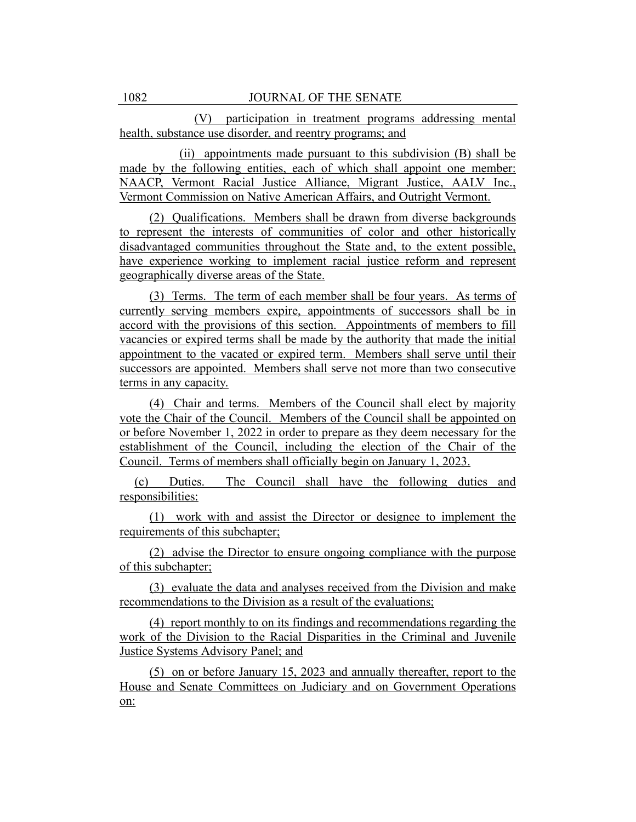(V) participation in treatment programs addressing mental health, substance use disorder, and reentry programs; and

(ii) appointments made pursuant to this subdivision (B) shall be made by the following entities, each of which shall appoint one member: NAACP, Vermont Racial Justice Alliance, Migrant Justice, AALV Inc., Vermont Commission on Native American Affairs, and Outright Vermont.

(2) Qualifications. Members shall be drawn from diverse backgrounds to represent the interests of communities of color and other historically disadvantaged communities throughout the State and, to the extent possible, have experience working to implement racial justice reform and represent geographically diverse areas of the State.

(3) Terms. The term of each member shall be four years. As terms of currently serving members expire, appointments of successors shall be in accord with the provisions of this section. Appointments of members to fill vacancies or expired terms shall be made by the authority that made the initial appointment to the vacated or expired term. Members shall serve until their successors are appointed. Members shall serve not more than two consecutive terms in any capacity.

(4) Chair and terms. Members of the Council shall elect by majority vote the Chair of the Council. Members of the Council shall be appointed on or before November 1, 2022 in order to prepare as they deem necessary for the establishment of the Council, including the election of the Chair of the Council. Terms of members shall officially begin on January 1, 2023.

(c) Duties. The Council shall have the following duties and responsibilities:

(1) work with and assist the Director or designee to implement the requirements of this subchapter;

(2) advise the Director to ensure ongoing compliance with the purpose of this subchapter;

(3) evaluate the data and analyses received from the Division and make recommendations to the Division as a result of the evaluations;

(4) report monthly to on its findings and recommendations regarding the work of the Division to the Racial Disparities in the Criminal and Juvenile Justice Systems Advisory Panel; and

(5) on or before January 15, 2023 and annually thereafter, report to the House and Senate Committees on Judiciary and on Government Operations on: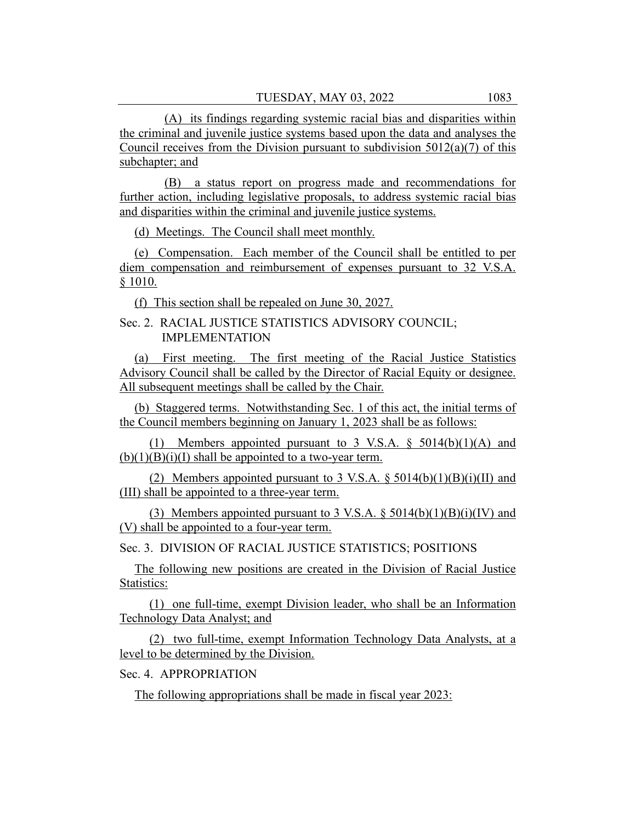(A) its findings regarding systemic racial bias and disparities within the criminal and juvenile justice systems based upon the data and analyses the Council receives from the Division pursuant to subdivision  $5012(a)(7)$  of this subchapter; and

(B) a status report on progress made and recommendations for further action, including legislative proposals, to address systemic racial bias and disparities within the criminal and juvenile justice systems.

(d) Meetings. The Council shall meet monthly.

(e) Compensation. Each member of the Council shall be entitled to per diem compensation and reimbursement of expenses pursuant to 32 V.S.A. § 1010.

(f) This section shall be repealed on June 30, 2027.

# Sec. 2. RACIAL JUSTICE STATISTICS ADVISORY COUNCIL; IMPLEMENTATION

(a) First meeting. The first meeting of the Racial Justice Statistics Advisory Council shall be called by the Director of Racial Equity or designee. All subsequent meetings shall be called by the Chair.

(b) Staggered terms. Notwithstanding Sec. 1 of this act, the initial terms of the Council members beginning on January 1, 2023 shall be as follows:

(1) Members appointed pursuant to 3 V.S.A.  $\S$  5014(b)(1)(A) and  $(b)(1)(B)(i)(I)$  shall be appointed to a two-year term.

(2) Members appointed pursuant to 3 V.S.A.  $\S 5014(b)(1)(B)(i)(II)$  and (III) shall be appointed to a three-year term.

(3) Members appointed pursuant to 3 V.S.A.  $\S 5014(b)(1)(B)(i)(IV)$  and (V) shall be appointed to a four-year term.

Sec. 3. DIVISION OF RACIAL JUSTICE STATISTICS; POSITIONS

The following new positions are created in the Division of Racial Justice Statistics:

(1) one full-time, exempt Division leader, who shall be an Information Technology Data Analyst; and

(2) two full-time, exempt Information Technology Data Analysts, at a level to be determined by the Division.

Sec. 4. APPROPRIATION

The following appropriations shall be made in fiscal year 2023: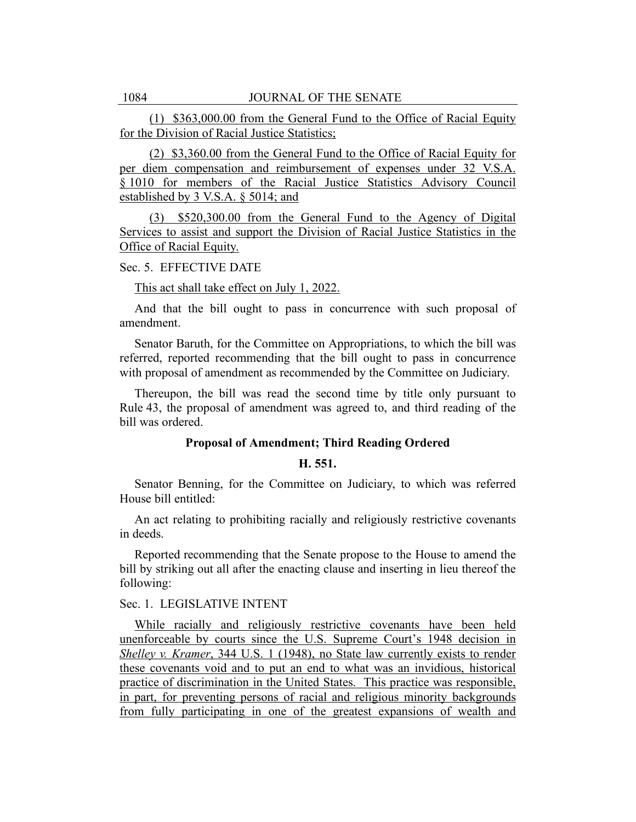(1) \$363,000.00 from the General Fund to the Office of Racial Equity for the Division of Racial Justice Statistics;

(2) \$3,360.00 from the General Fund to the Office of Racial Equity for per diem compensation and reimbursement of expenses under 32 V.S.A. § 1010 for members of the Racial Justice Statistics Advisory Council established by 3 V.S.A. § 5014; and

(3) \$520,300.00 from the General Fund to the Agency of Digital Services to assist and support the Division of Racial Justice Statistics in the Office of Racial Equity.

#### Sec. 5. EFFECTIVE DATE

#### This act shall take effect on July 1, 2022.

And that the bill ought to pass in concurrence with such proposal of amendment.

Senator Baruth, for the Committee on Appropriations, to which the bill was referred, reported recommending that the bill ought to pass in concurrence with proposal of amendment as recommended by the Committee on Judiciary.

Thereupon, the bill was read the second time by title only pursuant to Rule 43, the proposal of amendment was agreed to, and third reading of the bill was ordered.

#### **Proposal of Amendment; Third Reading Ordered**

#### **H. 551.**

Senator Benning, for the Committee on Judiciary, to which was referred House bill entitled:

An act relating to prohibiting racially and religiously restrictive covenants in deeds.

Reported recommending that the Senate propose to the House to amend the bill by striking out all after the enacting clause and inserting in lieu thereof the following:

## Sec. 1. LEGISLATIVE INTENT

While racially and religiously restrictive covenants have been held unenforceable by courts since the U.S. Supreme Court's 1948 decision in *Shelley v. Kramer*, 344 U.S. 1 (1948), no State law currently exists to render these covenants void and to put an end to what was an invidious, historical practice of discrimination in the United States. This practice was responsible, in part, for preventing persons of racial and religious minority backgrounds from fully participating in one of the greatest expansions of wealth and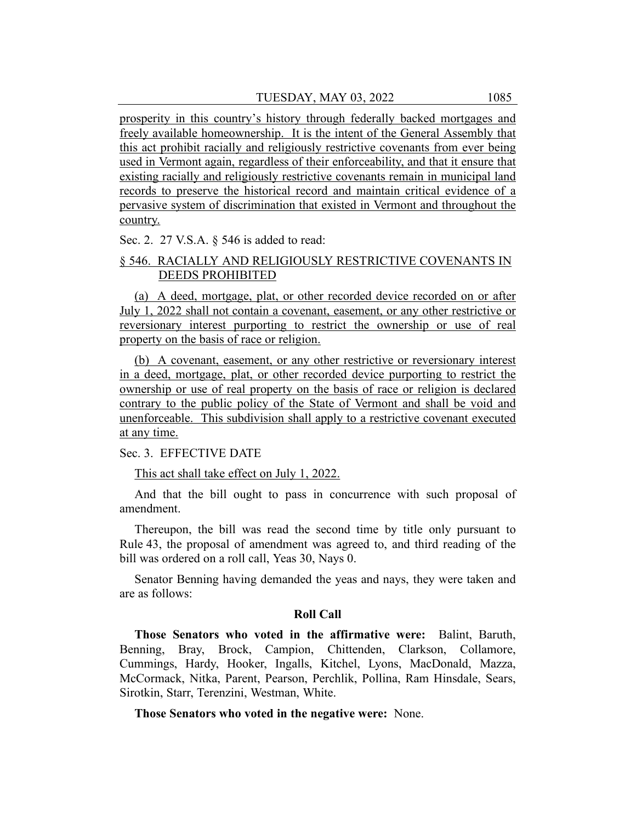prosperity in this country's history through federally backed mortgages and freely available homeownership. It is the intent of the General Assembly that this act prohibit racially and religiously restrictive covenants from ever being used in Vermont again, regardless of their enforceability, and that it ensure that existing racially and religiously restrictive covenants remain in municipal land records to preserve the historical record and maintain critical evidence of a pervasive system of discrimination that existed in Vermont and throughout the country.

Sec. 2. 27 V.S.A. § 546 is added to read:

# § 546. RACIALLY AND RELIGIOUSLY RESTRICTIVE COVENANTS IN DEEDS PROHIBITED

(a) A deed, mortgage, plat, or other recorded device recorded on or after July 1, 2022 shall not contain a covenant, easement, or any other restrictive or reversionary interest purporting to restrict the ownership or use of real property on the basis of race or religion.

(b) A covenant, easement, or any other restrictive or reversionary interest in a deed, mortgage, plat, or other recorded device purporting to restrict the ownership or use of real property on the basis of race or religion is declared contrary to the public policy of the State of Vermont and shall be void and unenforceable. This subdivision shall apply to a restrictive covenant executed at any time.

Sec. 3. EFFECTIVE DATE

This act shall take effect on July 1, 2022.

And that the bill ought to pass in concurrence with such proposal of amendment.

Thereupon, the bill was read the second time by title only pursuant to Rule 43, the proposal of amendment was agreed to, and third reading of the bill was ordered on a roll call, Yeas 30, Nays 0.

Senator Benning having demanded the yeas and nays, they were taken and are as follows:

## **Roll Call**

**Those Senators who voted in the affirmative were:** Balint, Baruth, Benning, Bray, Brock, Campion, Chittenden, Clarkson, Collamore, Cummings, Hardy, Hooker, Ingalls, Kitchel, Lyons, MacDonald, Mazza, McCormack, Nitka, Parent, Pearson, Perchlik, Pollina, Ram Hinsdale, Sears, Sirotkin, Starr, Terenzini, Westman, White.

**Those Senators who voted in the negative were:** None.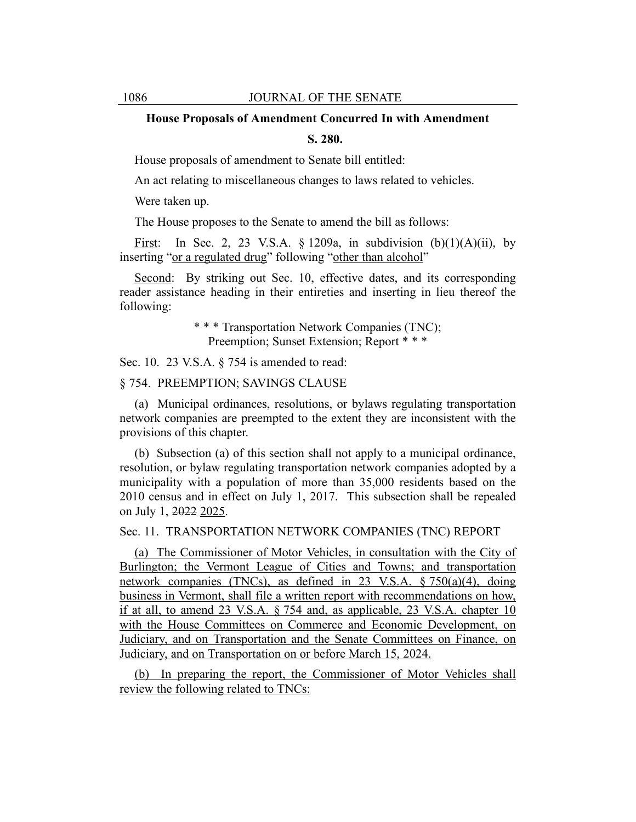#### **House Proposals of Amendment Concurred In with Amendment**

#### **S. 280.**

House proposals of amendment to Senate bill entitled:

An act relating to miscellaneous changes to laws related to vehicles.

Were taken up.

The House proposes to the Senate to amend the bill as follows:

First: In Sec. 2, 23 V.S.A.  $\S$  1209a, in subdivision  $(b)(1)(A)(ii)$ , by inserting "or a regulated drug" following "other than alcohol"

Second: By striking out Sec. 10, effective dates, and its corresponding reader assistance heading in their entireties and inserting in lieu thereof the following:

> \* \* \* Transportation Network Companies (TNC); Preemption; Sunset Extension; Report \* \* \*

Sec. 10. 23 V.S.A. § 754 is amended to read:

§ 754. PREEMPTION; SAVINGS CLAUSE

(a) Municipal ordinances, resolutions, or bylaws regulating transportation network companies are preempted to the extent they are inconsistent with the provisions of this chapter.

(b) Subsection (a) of this section shall not apply to a municipal ordinance, resolution, or bylaw regulating transportation network companies adopted by a municipality with a population of more than 35,000 residents based on the 2010 census and in effect on July 1, 2017. This subsection shall be repealed on July 1, 2022 2025.

Sec. 11. TRANSPORTATION NETWORK COMPANIES (TNC) REPORT

(a) The Commissioner of Motor Vehicles, in consultation with the City of Burlington; the Vermont League of Cities and Towns; and transportation network companies (TNCs), as defined in 23 V.S.A. § 750(a)(4), doing business in Vermont, shall file a written report with recommendations on how, if at all, to amend 23 V.S.A. § 754 and, as applicable, 23 V.S.A. chapter 10 with the House Committees on Commerce and Economic Development, on Judiciary, and on Transportation and the Senate Committees on Finance, on Judiciary, and on Transportation on or before March 15, 2024.

(b) In preparing the report, the Commissioner of Motor Vehicles shall review the following related to TNCs: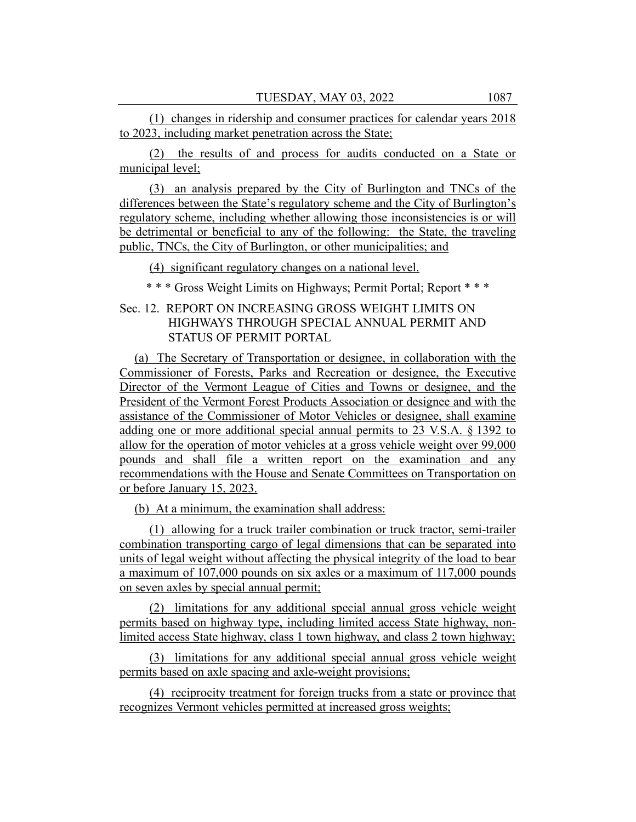(1) changes in ridership and consumer practices for calendar years 2018 to 2023, including market penetration across the State;

(2) the results of and process for audits conducted on a State or municipal level;

(3) an analysis prepared by the City of Burlington and TNCs of the differences between the State's regulatory scheme and the City of Burlington's regulatory scheme, including whether allowing those inconsistencies is or will be detrimental or beneficial to any of the following: the State, the traveling public, TNCs, the City of Burlington, or other municipalities; and

(4) significant regulatory changes on a national level.

\* \* \* Gross Weight Limits on Highways; Permit Portal; Report \* \* \*

# Sec. 12. REPORT ON INCREASING GROSS WEIGHT LIMITS ON HIGHWAYS THROUGH SPECIAL ANNUAL PERMIT AND STATUS OF PERMIT PORTAL

(a) The Secretary of Transportation or designee, in collaboration with the Commissioner of Forests, Parks and Recreation or designee, the Executive Director of the Vermont League of Cities and Towns or designee, and the President of the Vermont Forest Products Association or designee and with the assistance of the Commissioner of Motor Vehicles or designee, shall examine adding one or more additional special annual permits to 23 V.S.A. § 1392 to allow for the operation of motor vehicles at a gross vehicle weight over 99,000 pounds and shall file a written report on the examination and any recommendations with the House and Senate Committees on Transportation on or before January 15, 2023.

(b) At a minimum, the examination shall address:

(1) allowing for a truck trailer combination or truck tractor, semi-trailer combination transporting cargo of legal dimensions that can be separated into units of legal weight without affecting the physical integrity of the load to bear a maximum of 107,000 pounds on six axles or a maximum of 117,000 pounds on seven axles by special annual permit;

(2) limitations for any additional special annual gross vehicle weight permits based on highway type, including limited access State highway, nonlimited access State highway, class 1 town highway, and class 2 town highway;

(3) limitations for any additional special annual gross vehicle weight permits based on axle spacing and axle-weight provisions;

(4) reciprocity treatment for foreign trucks from a state or province that recognizes Vermont vehicles permitted at increased gross weights;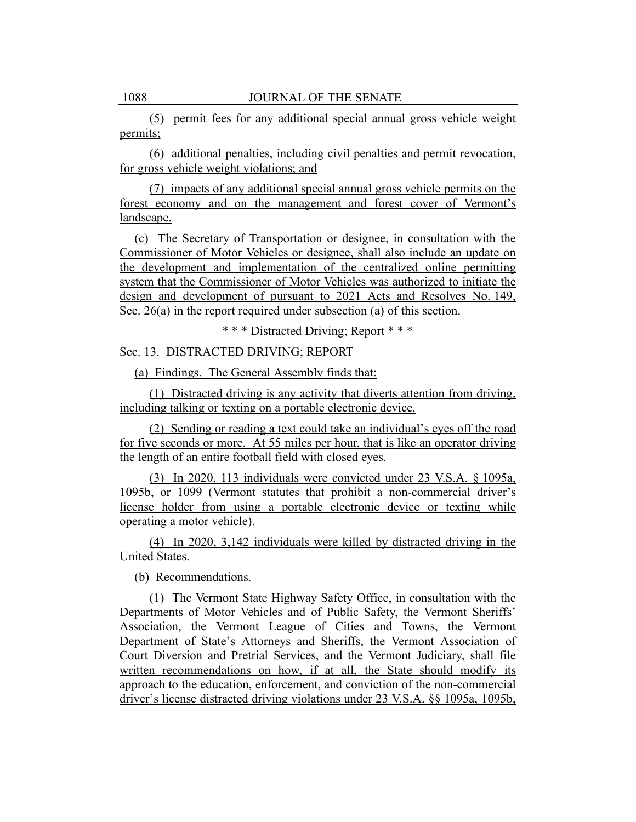(5) permit fees for any additional special annual gross vehicle weight permits;

(6) additional penalties, including civil penalties and permit revocation, for gross vehicle weight violations; and

(7) impacts of any additional special annual gross vehicle permits on the forest economy and on the management and forest cover of Vermont's landscape.

(c) The Secretary of Transportation or designee, in consultation with the Commissioner of Motor Vehicles or designee, shall also include an update on the development and implementation of the centralized online permitting system that the Commissioner of Motor Vehicles was authorized to initiate the design and development of pursuant to 2021 Acts and Resolves No. 149, Sec. 26(a) in the report required under subsection (a) of this section.

\* \* \* Distracted Driving; Report \* \* \*

Sec. 13. DISTRACTED DRIVING; REPORT

(a) Findings. The General Assembly finds that:

(1) Distracted driving is any activity that diverts attention from driving, including talking or texting on a portable electronic device.

(2) Sending or reading a text could take an individual's eyes off the road for five seconds or more. At 55 miles per hour, that is like an operator driving the length of an entire football field with closed eyes.

(3) In 2020, 113 individuals were convicted under 23 V.S.A. § 1095a, 1095b, or 1099 (Vermont statutes that prohibit a non-commercial driver's license holder from using a portable electronic device or texting while operating a motor vehicle).

(4) In 2020, 3,142 individuals were killed by distracted driving in the United States.

(b) Recommendations.

(1) The Vermont State Highway Safety Office, in consultation with the Departments of Motor Vehicles and of Public Safety, the Vermont Sheriffs' Association, the Vermont League of Cities and Towns, the Vermont Department of State's Attorneys and Sheriffs, the Vermont Association of Court Diversion and Pretrial Services, and the Vermont Judiciary, shall file written recommendations on how, if at all, the State should modify its approach to the education, enforcement, and conviction of the non-commercial driver's license distracted driving violations under 23 V.S.A. §§ 1095a, 1095b,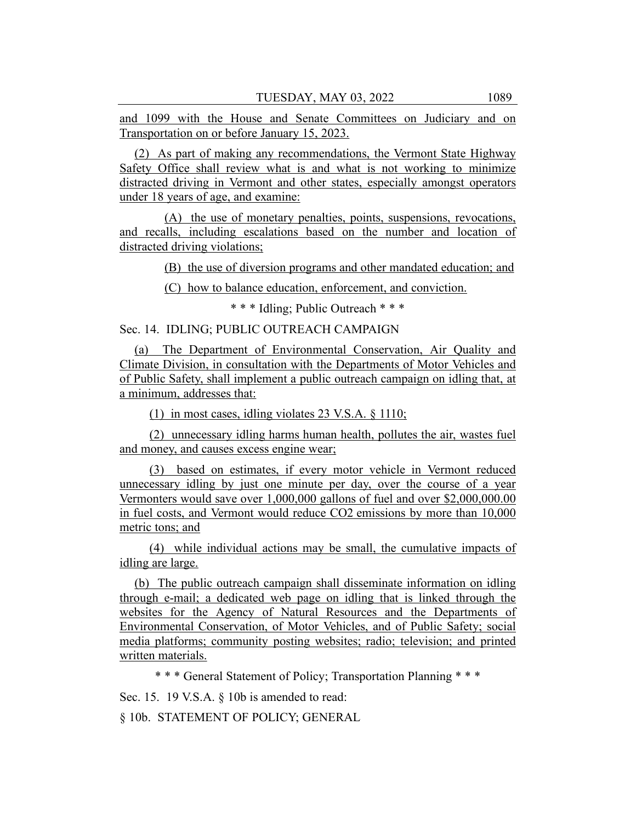and 1099 with the House and Senate Committees on Judiciary and on Transportation on or before January 15, 2023.

(2) As part of making any recommendations, the Vermont State Highway Safety Office shall review what is and what is not working to minimize distracted driving in Vermont and other states, especially amongst operators under 18 years of age, and examine:

(A) the use of monetary penalties, points, suspensions, revocations, and recalls, including escalations based on the number and location of distracted driving violations;

(B) the use of diversion programs and other mandated education; and

(C) how to balance education, enforcement, and conviction.

\* \* \* Idling; Public Outreach \* \* \*

Sec. 14. IDLING; PUBLIC OUTREACH CAMPAIGN

(a) The Department of Environmental Conservation, Air Quality and Climate Division, in consultation with the Departments of Motor Vehicles and of Public Safety, shall implement a public outreach campaign on idling that, at a minimum, addresses that:

(1) in most cases, idling violates 23 V.S.A. § 1110;

(2) unnecessary idling harms human health, pollutes the air, wastes fuel and money, and causes excess engine wear;

(3) based on estimates, if every motor vehicle in Vermont reduced unnecessary idling by just one minute per day, over the course of a year Vermonters would save over 1,000,000 gallons of fuel and over \$2,000,000.00 in fuel costs, and Vermont would reduce CO2 emissions by more than 10,000 metric tons; and

(4) while individual actions may be small, the cumulative impacts of idling are large.

(b) The public outreach campaign shall disseminate information on idling through e-mail; a dedicated web page on idling that is linked through the websites for the Agency of Natural Resources and the Departments of Environmental Conservation, of Motor Vehicles, and of Public Safety; social media platforms; community posting websites; radio; television; and printed written materials.

\* \* \* General Statement of Policy; Transportation Planning \* \* \*

Sec. 15. 19 V.S.A. § 10b is amended to read:

§ 10b. STATEMENT OF POLICY; GENERAL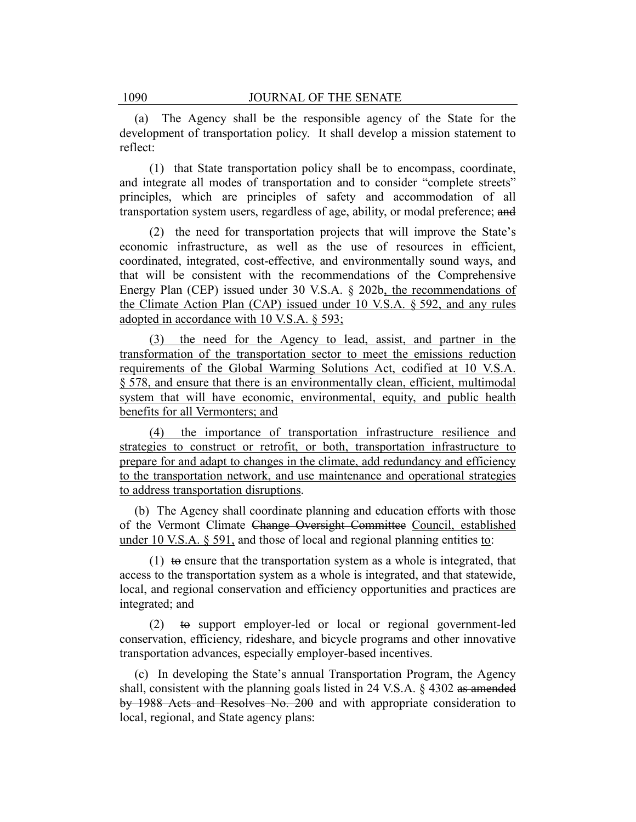(a) The Agency shall be the responsible agency of the State for the development of transportation policy. It shall develop a mission statement to reflect:

(1) that State transportation policy shall be to encompass, coordinate, and integrate all modes of transportation and to consider "complete streets" principles, which are principles of safety and accommodation of all transportation system users, regardless of age, ability, or modal preference; and

(2) the need for transportation projects that will improve the State's economic infrastructure, as well as the use of resources in efficient, coordinated, integrated, cost-effective, and environmentally sound ways, and that will be consistent with the recommendations of the Comprehensive Energy Plan (CEP) issued under 30 V.S.A. § 202b, the recommendations of the Climate Action Plan (CAP) issued under 10 V.S.A. § 592, and any rules adopted in accordance with 10 V.S.A. § 593;

(3) the need for the Agency to lead, assist, and partner in the transformation of the transportation sector to meet the emissions reduction requirements of the Global Warming Solutions Act, codified at 10 V.S.A. § 578, and ensure that there is an environmentally clean, efficient, multimodal system that will have economic, environmental, equity, and public health benefits for all Vermonters; and

(4) the importance of transportation infrastructure resilience and strategies to construct or retrofit, or both, transportation infrastructure to prepare for and adapt to changes in the climate, add redundancy and efficiency to the transportation network, and use maintenance and operational strategies to address transportation disruptions.

(b) The Agency shall coordinate planning and education efforts with those of the Vermont Climate Change Oversight Committee Council, established under 10 V.S.A. § 591, and those of local and regional planning entities to:

(1) to ensure that the transportation system as a whole is integrated, that access to the transportation system as a whole is integrated, and that statewide, local, and regional conservation and efficiency opportunities and practices are integrated; and

(2) to support employer-led or local or regional government-led conservation, efficiency, rideshare, and bicycle programs and other innovative transportation advances, especially employer-based incentives.

(c) In developing the State's annual Transportation Program, the Agency shall, consistent with the planning goals listed in 24 V.S.A.  $\S$  4302 as amended by 1988 Acts and Resolves No. 200 and with appropriate consideration to local, regional, and State agency plans: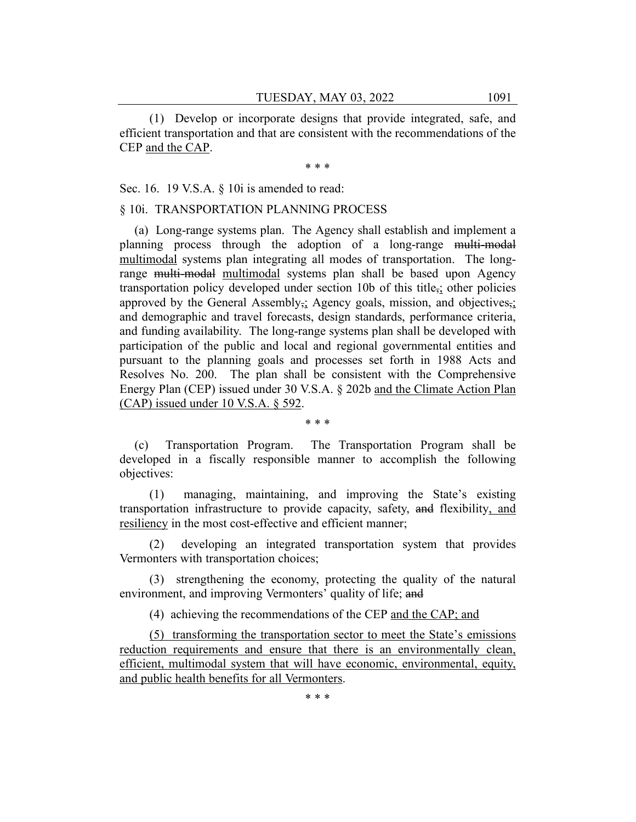(1) Develop or incorporate designs that provide integrated, safe, and efficient transportation and that are consistent with the recommendations of the CEP and the CAP.

\* \* \*

Sec. 16. 19 V.S.A. § 10*i* is amended to read:

objectives:

## § 10i. TRANSPORTATION PLANNING PROCESS

(a) Long-range systems plan. The Agency shall establish and implement a planning process through the adoption of a long-range multi-modal multimodal systems plan integrating all modes of transportation. The longrange multi-modal multimodal systems plan shall be based upon Agency transportation policy developed under section 10b of this title,; other policies approved by the General Assembly<sub>7</sub>; Agency goals, mission, and objectives<sub>7</sub>; and demographic and travel forecasts, design standards, performance criteria, and funding availability. The long-range systems plan shall be developed with participation of the public and local and regional governmental entities and pursuant to the planning goals and processes set forth in 1988 Acts and Resolves No. 200. The plan shall be consistent with the Comprehensive Energy Plan (CEP) issued under 30 V.S.A. § 202b and the Climate Action Plan (CAP) issued under 10 V.S.A. § 592.

(c) Transportation Program. The Transportation Program shall be developed in a fiscally responsible manner to accomplish the following

\* \* \*

(1) managing, maintaining, and improving the State's existing transportation infrastructure to provide capacity, safety, and flexibility, and resiliency in the most cost-effective and efficient manner;

(2) developing an integrated transportation system that provides Vermonters with transportation choices;

(3) strengthening the economy, protecting the quality of the natural environment, and improving Vermonters' quality of life; and

(4) achieving the recommendations of the CEP and the CAP; and

(5) transforming the transportation sector to meet the State's emissions reduction requirements and ensure that there is an environmentally clean, efficient, multimodal system that will have economic, environmental, equity, and public health benefits for all Vermonters.

\* \* \*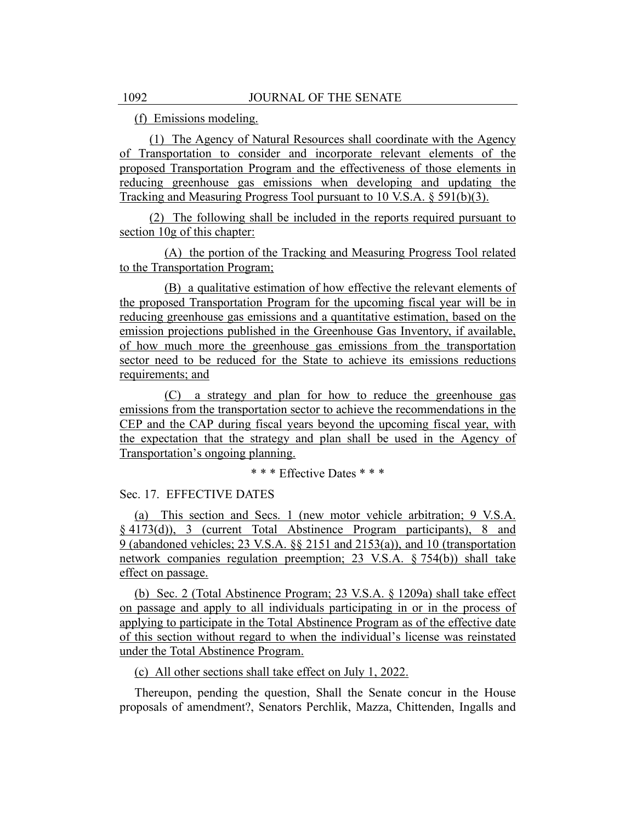(f) Emissions modeling.

(1) The Agency of Natural Resources shall coordinate with the Agency of Transportation to consider and incorporate relevant elements of the proposed Transportation Program and the effectiveness of those elements in reducing greenhouse gas emissions when developing and updating the Tracking and Measuring Progress Tool pursuant to 10 V.S.A. § 591(b)(3).

(2) The following shall be included in the reports required pursuant to section 10g of this chapter:

(A) the portion of the Tracking and Measuring Progress Tool related to the Transportation Program;

(B) a qualitative estimation of how effective the relevant elements of the proposed Transportation Program for the upcoming fiscal year will be in reducing greenhouse gas emissions and a quantitative estimation, based on the emission projections published in the Greenhouse Gas Inventory, if available, of how much more the greenhouse gas emissions from the transportation sector need to be reduced for the State to achieve its emissions reductions requirements; and

(C) a strategy and plan for how to reduce the greenhouse gas emissions from the transportation sector to achieve the recommendations in the CEP and the CAP during fiscal years beyond the upcoming fiscal year, with the expectation that the strategy and plan shall be used in the Agency of Transportation's ongoing planning.

\* \* \* Effective Dates \* \* \*

Sec. 17. EFFECTIVE DATES

(a) This section and Secs. 1 (new motor vehicle arbitration; 9 V.S.A. § 4173(d)), 3 (current Total Abstinence Program participants), 8 and 9 (abandoned vehicles; 23 V.S.A. §§ 2151 and 2153(a)), and 10 (transportation network companies regulation preemption; 23 V.S.A. § 754(b)) shall take effect on passage.

(b) Sec. 2 (Total Abstinence Program; 23 V.S.A. § 1209a) shall take effect on passage and apply to all individuals participating in or in the process of applying to participate in the Total Abstinence Program as of the effective date of this section without regard to when the individual's license was reinstated under the Total Abstinence Program.

(c) All other sections shall take effect on July 1, 2022.

Thereupon, pending the question, Shall the Senate concur in the House proposals of amendment?, Senators Perchlik, Mazza, Chittenden, Ingalls and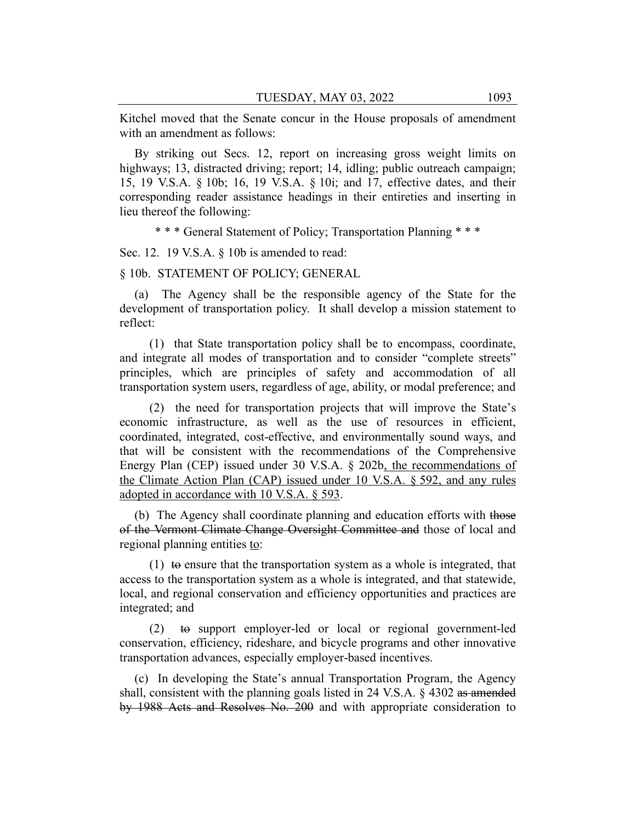Kitchel moved that the Senate concur in the House proposals of amendment with an amendment as follows:

By striking out Secs. 12, report on increasing gross weight limits on highways; 13, distracted driving; report; 14, idling; public outreach campaign; 15, 19 V.S.A. § 10b; 16, 19 V.S.A. § 10i; and 17, effective dates, and their corresponding reader assistance headings in their entireties and inserting in lieu thereof the following:

\* \* \* General Statement of Policy; Transportation Planning \* \* \*

Sec. 12. 19 V.S.A. § 10b is amended to read:

#### § 10b. STATEMENT OF POLICY; GENERAL

(a) The Agency shall be the responsible agency of the State for the development of transportation policy. It shall develop a mission statement to reflect:

(1) that State transportation policy shall be to encompass, coordinate, and integrate all modes of transportation and to consider "complete streets" principles, which are principles of safety and accommodation of all transportation system users, regardless of age, ability, or modal preference; and

(2) the need for transportation projects that will improve the State's economic infrastructure, as well as the use of resources in efficient, coordinated, integrated, cost-effective, and environmentally sound ways, and that will be consistent with the recommendations of the Comprehensive Energy Plan (CEP) issued under 30 V.S.A. § 202b, the recommendations of the Climate Action Plan (CAP) issued under 10 V.S.A. § 592, and any rules adopted in accordance with 10 V.S.A. § 593.

(b) The Agency shall coordinate planning and education efforts with those of the Vermont Climate Change Oversight Committee and those of local and regional planning entities to:

(1)  $\pm$  ensure that the transportation system as a whole is integrated, that access to the transportation system as a whole is integrated, and that statewide, local, and regional conservation and efficiency opportunities and practices are integrated; and

(2) to support employer-led or local or regional government-led conservation, efficiency, rideshare, and bicycle programs and other innovative transportation advances, especially employer-based incentives.

(c) In developing the State's annual Transportation Program, the Agency shall, consistent with the planning goals listed in 24 V.S.A.  $\S$  4302 as amended by 1988 Acts and Resolves No. 200 and with appropriate consideration to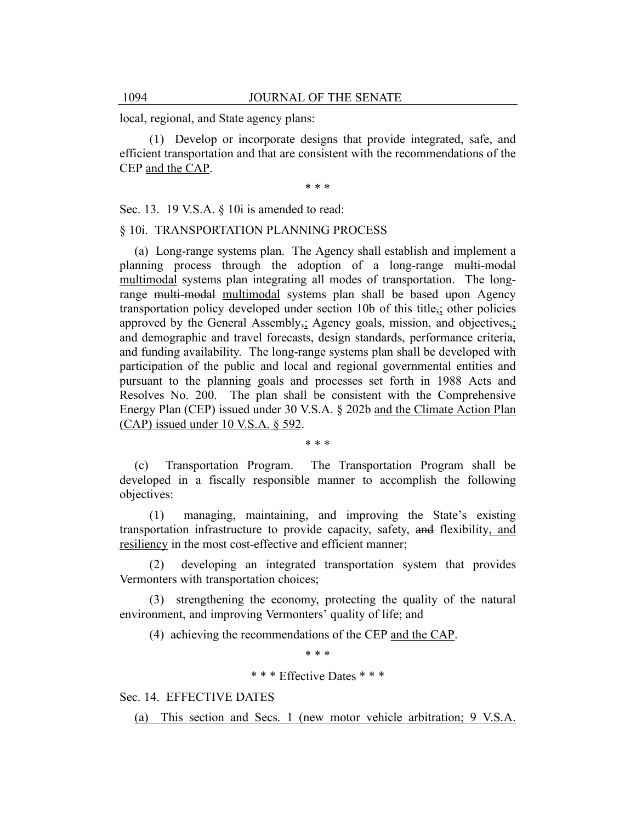local, regional, and State agency plans:

(1) Develop or incorporate designs that provide integrated, safe, and efficient transportation and that are consistent with the recommendations of the CEP and the CAP.

\* \* \*

Sec. 13. 19 V.S.A. § 10i is amended to read:

#### § 10i. TRANSPORTATION PLANNING PROCESS

(a) Long-range systems plan. The Agency shall establish and implement a planning process through the adoption of a long-range multi-modal multimodal systems plan integrating all modes of transportation. The longrange multi-modal multimodal systems plan shall be based upon Agency transportation policy developed under section 10b of this title,; other policies approved by the General Assembly<sub>5</sub>; Agency goals, mission, and objectives<sub>5</sub>; and demographic and travel forecasts, design standards, performance criteria, and funding availability. The long-range systems plan shall be developed with participation of the public and local and regional governmental entities and pursuant to the planning goals and processes set forth in 1988 Acts and Resolves No. 200. The plan shall be consistent with the Comprehensive Energy Plan (CEP) issued under 30 V.S.A. § 202b and the Climate Action Plan (CAP) issued under 10 V.S.A. § 592.

\* \* \*

(c) Transportation Program. The Transportation Program shall be developed in a fiscally responsible manner to accomplish the following objectives:

(1) managing, maintaining, and improving the State's existing transportation infrastructure to provide capacity, safety, and flexibility, and resiliency in the most cost-effective and efficient manner;

(2) developing an integrated transportation system that provides Vermonters with transportation choices;

(3) strengthening the economy, protecting the quality of the natural environment, and improving Vermonters' quality of life; and

(4) achieving the recommendations of the CEP and the CAP.

\* \* \*

\* \* \* Effective Dates \* \* \*

Sec. 14. EFFECTIVE DATES

(a) This section and Secs. 1 (new motor vehicle arbitration; 9 V.S.A.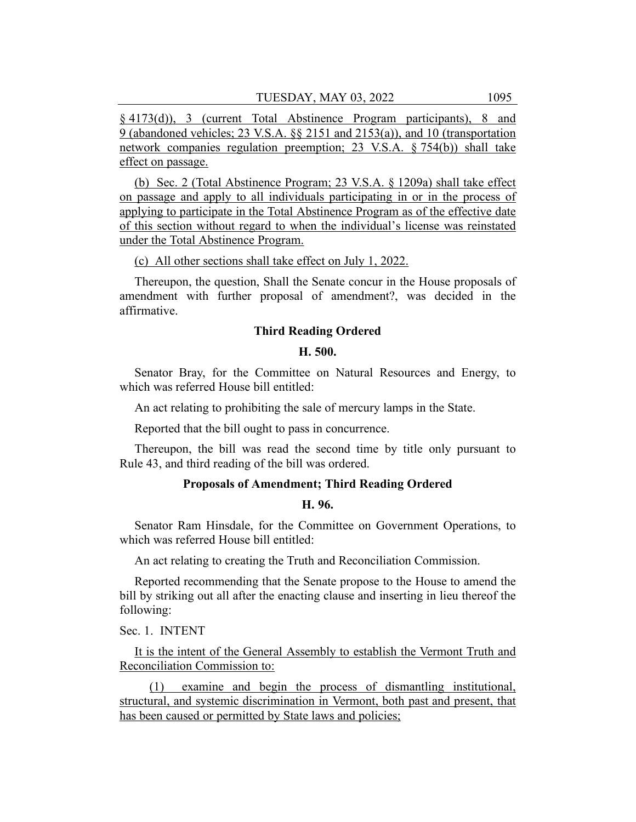§ 4173(d)), 3 (current Total Abstinence Program participants), 8 and 9 (abandoned vehicles; 23 V.S.A. §§ 2151 and 2153(a)), and 10 (transportation network companies regulation preemption; 23 V.S.A. § 754(b)) shall take effect on passage.

(b) Sec. 2 (Total Abstinence Program; 23 V.S.A. § 1209a) shall take effect on passage and apply to all individuals participating in or in the process of applying to participate in the Total Abstinence Program as of the effective date of this section without regard to when the individual's license was reinstated under the Total Abstinence Program.

(c) All other sections shall take effect on July 1, 2022.

Thereupon, the question, Shall the Senate concur in the House proposals of amendment with further proposal of amendment?, was decided in the affirmative.

## **Third Reading Ordered**

## **H. 500.**

Senator Bray, for the Committee on Natural Resources and Energy, to which was referred House bill entitled:

An act relating to prohibiting the sale of mercury lamps in the State.

Reported that the bill ought to pass in concurrence.

Thereupon, the bill was read the second time by title only pursuant to Rule 43, and third reading of the bill was ordered.

## **Proposals of Amendment; Third Reading Ordered**

## **H. 96.**

Senator Ram Hinsdale, for the Committee on Government Operations, to which was referred House bill entitled:

An act relating to creating the Truth and Reconciliation Commission.

Reported recommending that the Senate propose to the House to amend the bill by striking out all after the enacting clause and inserting in lieu thereof the following:

Sec. 1. INTENT

It is the intent of the General Assembly to establish the Vermont Truth and Reconciliation Commission to:

(1) examine and begin the process of dismantling institutional, structural, and systemic discrimination in Vermont, both past and present, that has been caused or permitted by State laws and policies;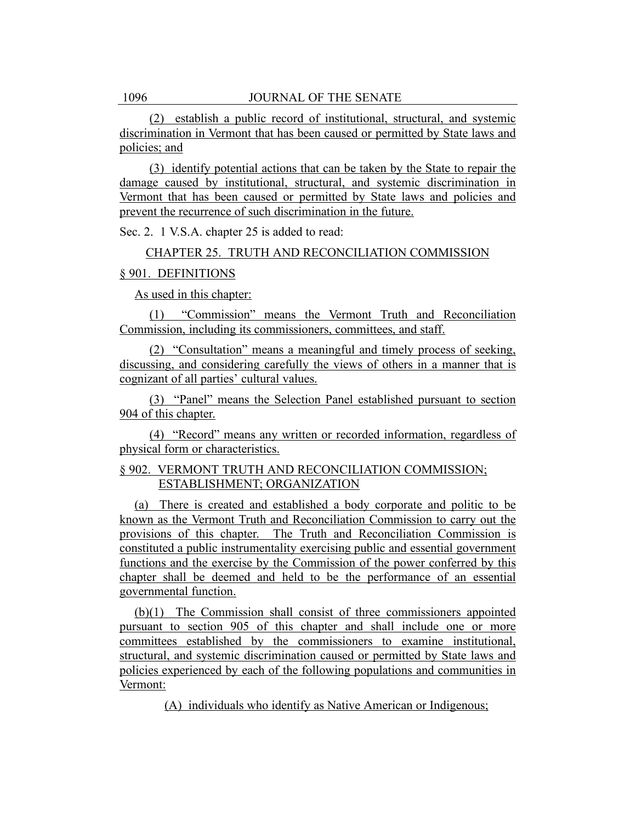(2) establish a public record of institutional, structural, and systemic discrimination in Vermont that has been caused or permitted by State laws and policies; and

(3) identify potential actions that can be taken by the State to repair the damage caused by institutional, structural, and systemic discrimination in Vermont that has been caused or permitted by State laws and policies and prevent the recurrence of such discrimination in the future.

Sec. 2. 1 V.S.A. chapter 25 is added to read:

## CHAPTER 25. TRUTH AND RECONCILIATION COMMISSION

## § 901. DEFINITIONS

As used in this chapter:

(1) "Commission" means the Vermont Truth and Reconciliation Commission, including its commissioners, committees, and staff.

(2) "Consultation" means a meaningful and timely process of seeking, discussing, and considering carefully the views of others in a manner that is cognizant of all parties' cultural values.

(3) "Panel" means the Selection Panel established pursuant to section 904 of this chapter.

(4) "Record" means any written or recorded information, regardless of physical form or characteristics.

## § 902. VERMONT TRUTH AND RECONCILIATION COMMISSION; ESTABLISHMENT; ORGANIZATION

(a) There is created and established a body corporate and politic to be known as the Vermont Truth and Reconciliation Commission to carry out the provisions of this chapter. The Truth and Reconciliation Commission is constituted a public instrumentality exercising public and essential government functions and the exercise by the Commission of the power conferred by this chapter shall be deemed and held to be the performance of an essential governmental function.

(b)(1) The Commission shall consist of three commissioners appointed pursuant to section 905 of this chapter and shall include one or more committees established by the commissioners to examine institutional, structural, and systemic discrimination caused or permitted by State laws and policies experienced by each of the following populations and communities in Vermont:

(A) individuals who identify as Native American or Indigenous;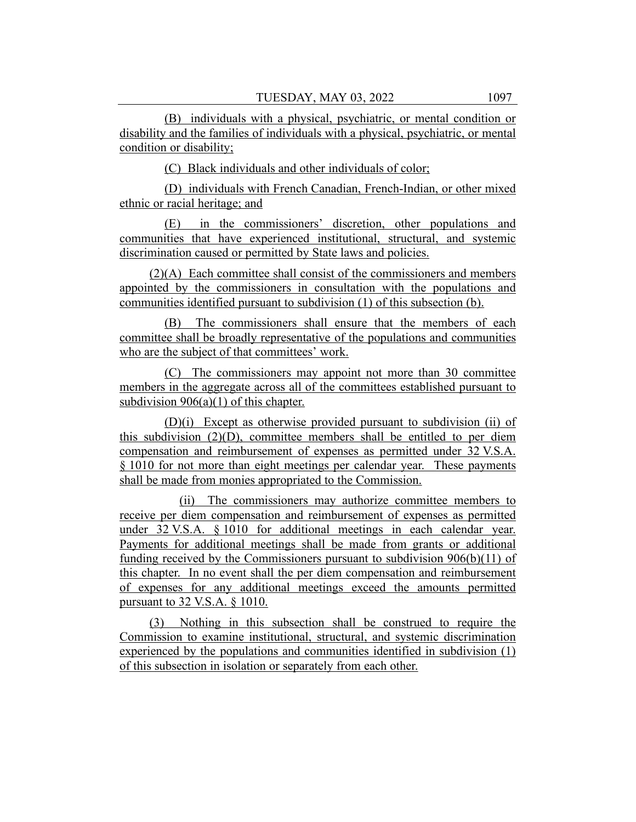(B) individuals with a physical, psychiatric, or mental condition or disability and the families of individuals with a physical, psychiatric, or mental condition or disability;

(C) Black individuals and other individuals of color;

(D) individuals with French Canadian, French-Indian, or other mixed ethnic or racial heritage; and

(E) in the commissioners' discretion, other populations and communities that have experienced institutional, structural, and systemic discrimination caused or permitted by State laws and policies.

(2)(A) Each committee shall consist of the commissioners and members appointed by the commissioners in consultation with the populations and communities identified pursuant to subdivision (1) of this subsection (b).

(B) The commissioners shall ensure that the members of each committee shall be broadly representative of the populations and communities who are the subject of that committees' work.

(C) The commissioners may appoint not more than 30 committee members in the aggregate across all of the committees established pursuant to subdivision  $906(a)(1)$  of this chapter.

(D)(i) Except as otherwise provided pursuant to subdivision (ii) of this subdivision  $(2)(D)$ , committee members shall be entitled to per diem compensation and reimbursement of expenses as permitted under 32 V.S.A. § 1010 for not more than eight meetings per calendar year. These payments shall be made from monies appropriated to the Commission.

(ii) The commissioners may authorize committee members to receive per diem compensation and reimbursement of expenses as permitted under 32 V.S.A. § 1010 for additional meetings in each calendar year. Payments for additional meetings shall be made from grants or additional funding received by the Commissioners pursuant to subdivision 906(b)(11) of this chapter. In no event shall the per diem compensation and reimbursement of expenses for any additional meetings exceed the amounts permitted pursuant to 32 V.S.A. § 1010.

(3) Nothing in this subsection shall be construed to require the Commission to examine institutional, structural, and systemic discrimination experienced by the populations and communities identified in subdivision (1) of this subsection in isolation or separately from each other.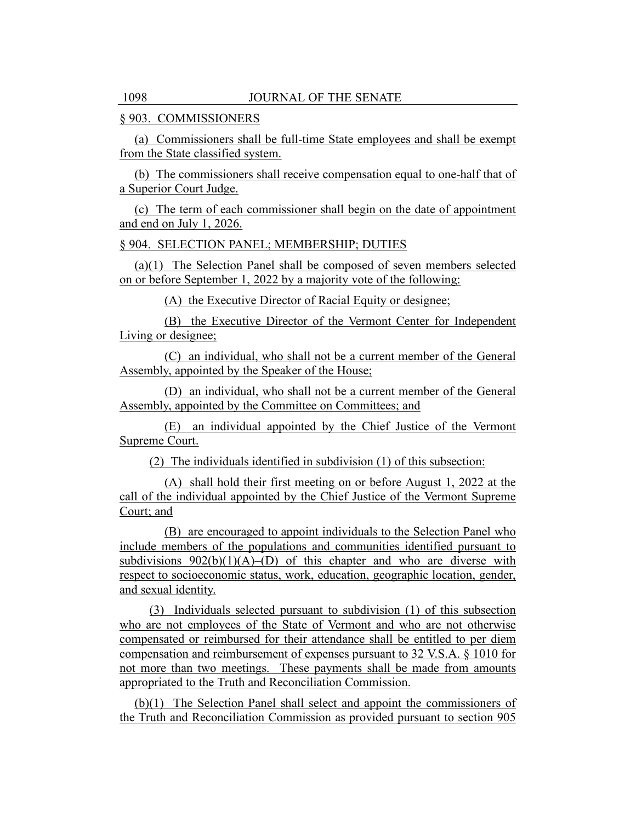## § 903. COMMISSIONERS

(a) Commissioners shall be full-time State employees and shall be exempt from the State classified system.

(b) The commissioners shall receive compensation equal to one-half that of a Superior Court Judge.

(c) The term of each commissioner shall begin on the date of appointment and end on July 1, 2026.

## § 904. SELECTION PANEL; MEMBERSHIP; DUTIES

(a)(1) The Selection Panel shall be composed of seven members selected on or before September 1, 2022 by a majority vote of the following:

(A) the Executive Director of Racial Equity or designee;

(B) the Executive Director of the Vermont Center for Independent Living or designee;

(C) an individual, who shall not be a current member of the General Assembly, appointed by the Speaker of the House;

(D) an individual, who shall not be a current member of the General Assembly, appointed by the Committee on Committees; and

(E) an individual appointed by the Chief Justice of the Vermont Supreme Court.

(2) The individuals identified in subdivision (1) of this subsection:

(A) shall hold their first meeting on or before August 1, 2022 at the call of the individual appointed by the Chief Justice of the Vermont Supreme Court; and

(B) are encouraged to appoint individuals to the Selection Panel who include members of the populations and communities identified pursuant to subdivisions  $902(b)(1)(A)$ –(D) of this chapter and who are diverse with respect to socioeconomic status, work, education, geographic location, gender, and sexual identity.

(3) Individuals selected pursuant to subdivision (1) of this subsection who are not employees of the State of Vermont and who are not otherwise compensated or reimbursed for their attendance shall be entitled to per diem compensation and reimbursement of expenses pursuant to 32 V.S.A. § 1010 for not more than two meetings. These payments shall be made from amounts appropriated to the Truth and Reconciliation Commission.

(b)(1) The Selection Panel shall select and appoint the commissioners of the Truth and Reconciliation Commission as provided pursuant to section 905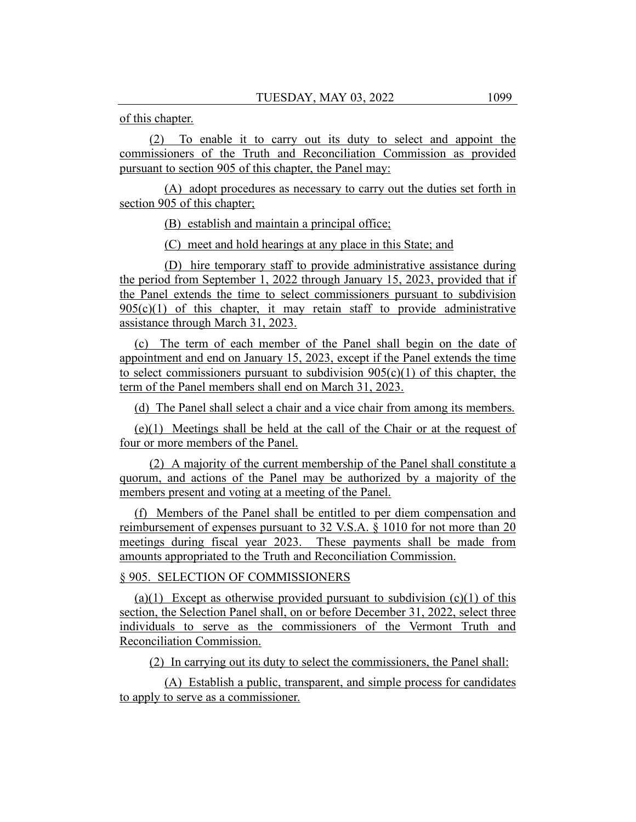of this chapter.

(2) To enable it to carry out its duty to select and appoint the commissioners of the Truth and Reconciliation Commission as provided pursuant to section 905 of this chapter, the Panel may:

(A) adopt procedures as necessary to carry out the duties set forth in section 905 of this chapter;

(B) establish and maintain a principal office;

(C) meet and hold hearings at any place in this State; and

(D) hire temporary staff to provide administrative assistance during the period from September 1, 2022 through January 15, 2023, provided that if the Panel extends the time to select commissioners pursuant to subdivision  $905(c)(1)$  of this chapter, it may retain staff to provide administrative assistance through March 31, 2023.

(c) The term of each member of the Panel shall begin on the date of appointment and end on January 15, 2023, except if the Panel extends the time to select commissioners pursuant to subdivision  $905(c)(1)$  of this chapter, the term of the Panel members shall end on March 31, 2023.

(d) The Panel shall select a chair and a vice chair from among its members.

(e)(1) Meetings shall be held at the call of the Chair or at the request of four or more members of the Panel.

(2) A majority of the current membership of the Panel shall constitute a quorum, and actions of the Panel may be authorized by a majority of the members present and voting at a meeting of the Panel.

(f) Members of the Panel shall be entitled to per diem compensation and reimbursement of expenses pursuant to 32 V.S.A. § 1010 for not more than 20 meetings during fiscal year 2023. These payments shall be made from amounts appropriated to the Truth and Reconciliation Commission.

# § 905. SELECTION OF COMMISSIONERS

(a)(1) Except as otherwise provided pursuant to subdivision  $(c)(1)$  of this section, the Selection Panel shall, on or before December 31, 2022, select three individuals to serve as the commissioners of the Vermont Truth and Reconciliation Commission.

(2) In carrying out its duty to select the commissioners, the Panel shall:

(A) Establish a public, transparent, and simple process for candidates to apply to serve as a commissioner.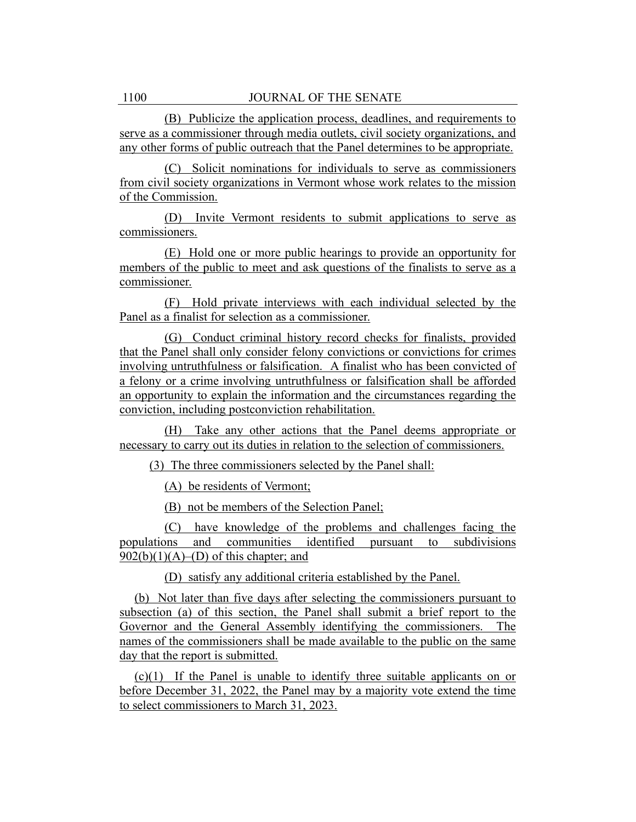(B) Publicize the application process, deadlines, and requirements to serve as a commissioner through media outlets, civil society organizations, and any other forms of public outreach that the Panel determines to be appropriate.

(C) Solicit nominations for individuals to serve as commissioners from civil society organizations in Vermont whose work relates to the mission of the Commission.

(D) Invite Vermont residents to submit applications to serve as commissioners.

(E) Hold one or more public hearings to provide an opportunity for members of the public to meet and ask questions of the finalists to serve as a commissioner.

(F) Hold private interviews with each individual selected by the Panel as a finalist for selection as a commissioner.

(G) Conduct criminal history record checks for finalists, provided that the Panel shall only consider felony convictions or convictions for crimes involving untruthfulness or falsification. A finalist who has been convicted of a felony or a crime involving untruthfulness or falsification shall be afforded an opportunity to explain the information and the circumstances regarding the conviction, including postconviction rehabilitation.

(H) Take any other actions that the Panel deems appropriate or necessary to carry out its duties in relation to the selection of commissioners.

(3) The three commissioners selected by the Panel shall:

(A) be residents of Vermont;

(B) not be members of the Selection Panel;

(C) have knowledge of the problems and challenges facing the populations and communities identified pursuant to subdivisions  $902(b)(1)(A)$ –(D) of this chapter; and

(D) satisfy any additional criteria established by the Panel.

(b) Not later than five days after selecting the commissioners pursuant to subsection (a) of this section, the Panel shall submit a brief report to the Governor and the General Assembly identifying the commissioners. The names of the commissioners shall be made available to the public on the same day that the report is submitted.

(c)(1) If the Panel is unable to identify three suitable applicants on or before December 31, 2022, the Panel may by a majority vote extend the time to select commissioners to March 31, 2023.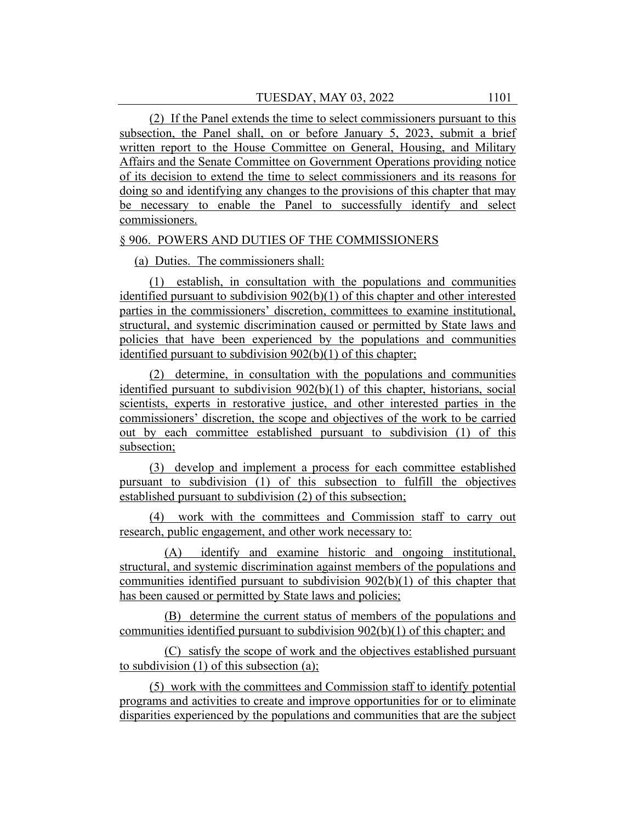(2) If the Panel extends the time to select commissioners pursuant to this subsection, the Panel shall, on or before January 5, 2023, submit a brief written report to the House Committee on General, Housing, and Military Affairs and the Senate Committee on Government Operations providing notice of its decision to extend the time to select commissioners and its reasons for doing so and identifying any changes to the provisions of this chapter that may be necessary to enable the Panel to successfully identify and select commissioners.

## § 906. POWERS AND DUTIES OF THE COMMISSIONERS

(a) Duties. The commissioners shall:

(1) establish, in consultation with the populations and communities identified pursuant to subdivision 902(b)(1) of this chapter and other interested parties in the commissioners' discretion, committees to examine institutional, structural, and systemic discrimination caused or permitted by State laws and policies that have been experienced by the populations and communities identified pursuant to subdivision 902(b)(1) of this chapter;

(2) determine, in consultation with the populations and communities identified pursuant to subdivision 902(b)(1) of this chapter, historians, social scientists, experts in restorative justice, and other interested parties in the commissioners' discretion, the scope and objectives of the work to be carried out by each committee established pursuant to subdivision (1) of this subsection;

(3) develop and implement a process for each committee established pursuant to subdivision (1) of this subsection to fulfill the objectives established pursuant to subdivision (2) of this subsection;

(4) work with the committees and Commission staff to carry out research, public engagement, and other work necessary to:

(A) identify and examine historic and ongoing institutional, structural, and systemic discrimination against members of the populations and communities identified pursuant to subdivision  $902(b)(1)$  of this chapter that has been caused or permitted by State laws and policies;

(B) determine the current status of members of the populations and communities identified pursuant to subdivision 902(b)(1) of this chapter; and

(C) satisfy the scope of work and the objectives established pursuant to subdivision (1) of this subsection (a);

(5) work with the committees and Commission staff to identify potential programs and activities to create and improve opportunities for or to eliminate disparities experienced by the populations and communities that are the subject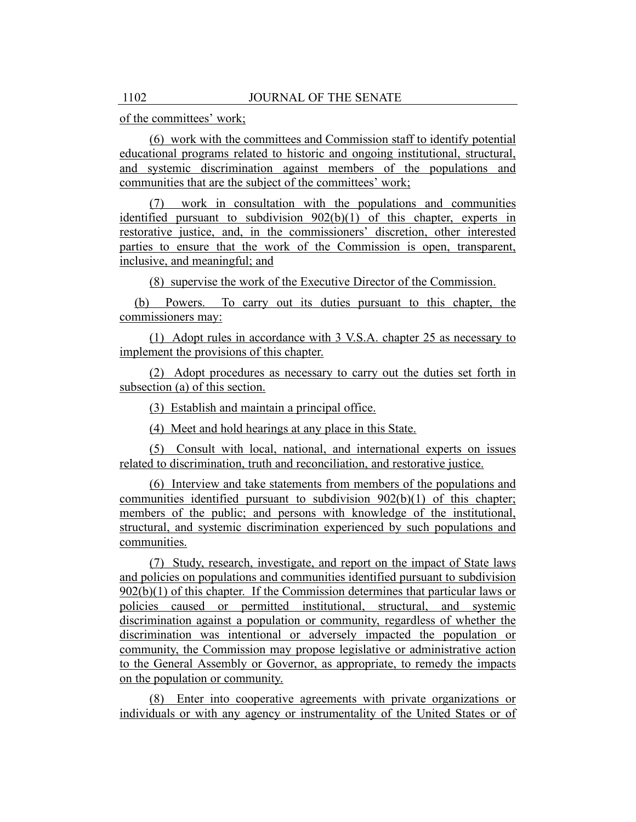of the committees' work;

(6) work with the committees and Commission staff to identify potential educational programs related to historic and ongoing institutional, structural, and systemic discrimination against members of the populations and communities that are the subject of the committees' work;

(7) work in consultation with the populations and communities identified pursuant to subdivision 902(b)(1) of this chapter, experts in restorative justice, and, in the commissioners' discretion, other interested parties to ensure that the work of the Commission is open, transparent, inclusive, and meaningful; and

(8) supervise the work of the Executive Director of the Commission.

(b) Powers. To carry out its duties pursuant to this chapter, the commissioners may:

(1) Adopt rules in accordance with 3 V.S.A. chapter 25 as necessary to implement the provisions of this chapter.

(2) Adopt procedures as necessary to carry out the duties set forth in subsection (a) of this section.

(3) Establish and maintain a principal office.

(4) Meet and hold hearings at any place in this State.

(5) Consult with local, national, and international experts on issues related to discrimination, truth and reconciliation, and restorative justice.

(6) Interview and take statements from members of the populations and communities identified pursuant to subdivision 902(b)(1) of this chapter; members of the public; and persons with knowledge of the institutional, structural, and systemic discrimination experienced by such populations and communities.

(7) Study, research, investigate, and report on the impact of State laws and policies on populations and communities identified pursuant to subdivision 902(b)(1) of this chapter. If the Commission determines that particular laws or policies caused or permitted institutional, structural, and systemic discrimination against a population or community, regardless of whether the discrimination was intentional or adversely impacted the population or community, the Commission may propose legislative or administrative action to the General Assembly or Governor, as appropriate, to remedy the impacts on the population or community.

(8) Enter into cooperative agreements with private organizations or individuals or with any agency or instrumentality of the United States or of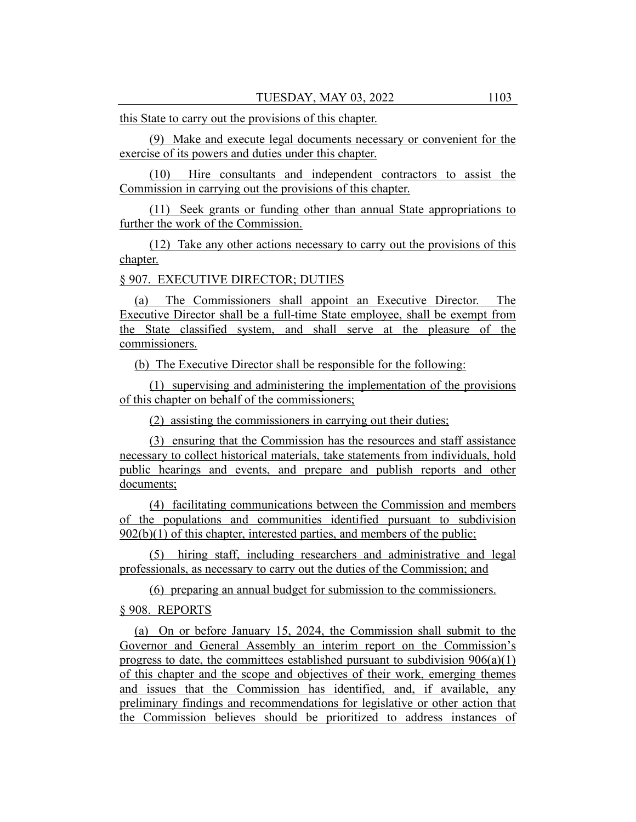this State to carry out the provisions of this chapter.

(9) Make and execute legal documents necessary or convenient for the exercise of its powers and duties under this chapter.

(10) Hire consultants and independent contractors to assist the Commission in carrying out the provisions of this chapter.

(11) Seek grants or funding other than annual State appropriations to further the work of the Commission.

(12) Take any other actions necessary to carry out the provisions of this chapter.

§ 907. EXECUTIVE DIRECTOR; DUTIES

(a) The Commissioners shall appoint an Executive Director. The Executive Director shall be a full-time State employee, shall be exempt from the State classified system, and shall serve at the pleasure of the commissioners.

(b) The Executive Director shall be responsible for the following:

(1) supervising and administering the implementation of the provisions of this chapter on behalf of the commissioners;

(2) assisting the commissioners in carrying out their duties;

(3) ensuring that the Commission has the resources and staff assistance necessary to collect historical materials, take statements from individuals, hold public hearings and events, and prepare and publish reports and other documents;

(4) facilitating communications between the Commission and members of the populations and communities identified pursuant to subdivision  $902(b)(1)$  of this chapter, interested parties, and members of the public;

(5) hiring staff, including researchers and administrative and legal professionals, as necessary to carry out the duties of the Commission; and

(6) preparing an annual budget for submission to the commissioners.

## § 908. REPORTS

(a) On or before January 15, 2024, the Commission shall submit to the Governor and General Assembly an interim report on the Commission's progress to date, the committees established pursuant to subdivision 906(a)(1) of this chapter and the scope and objectives of their work, emerging themes and issues that the Commission has identified, and, if available, any preliminary findings and recommendations for legislative or other action that the Commission believes should be prioritized to address instances of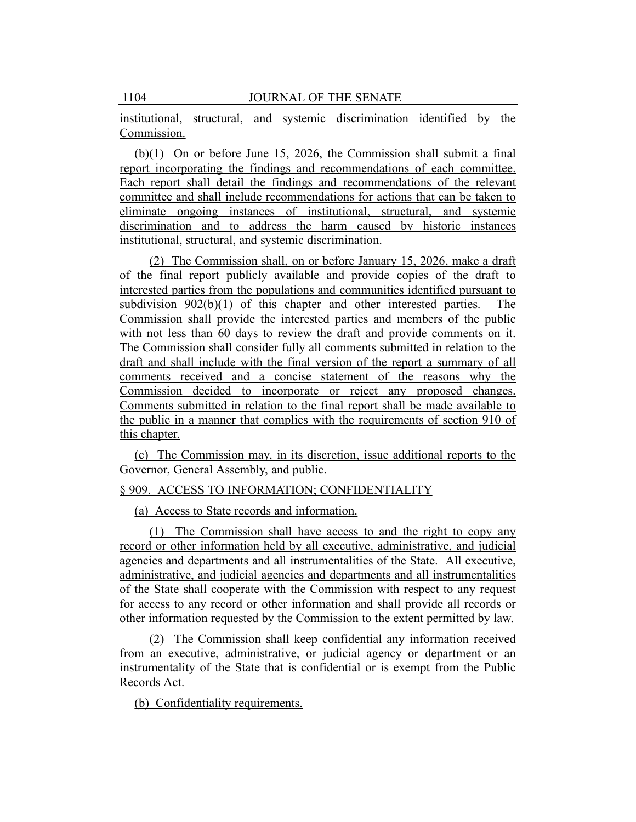institutional, structural, and systemic discrimination identified by the Commission.

(b)(1) On or before June 15, 2026, the Commission shall submit a final report incorporating the findings and recommendations of each committee. Each report shall detail the findings and recommendations of the relevant committee and shall include recommendations for actions that can be taken to eliminate ongoing instances of institutional, structural, and systemic discrimination and to address the harm caused by historic instances institutional, structural, and systemic discrimination.

(2) The Commission shall, on or before January 15, 2026, make a draft of the final report publicly available and provide copies of the draft to interested parties from the populations and communities identified pursuant to subdivision 902(b)(1) of this chapter and other interested parties. The Commission shall provide the interested parties and members of the public with not less than 60 days to review the draft and provide comments on it. The Commission shall consider fully all comments submitted in relation to the draft and shall include with the final version of the report a summary of all comments received and a concise statement of the reasons why the Commission decided to incorporate or reject any proposed changes. Comments submitted in relation to the final report shall be made available to the public in a manner that complies with the requirements of section 910 of this chapter.

(c) The Commission may, in its discretion, issue additional reports to the Governor, General Assembly, and public.

#### § 909. ACCESS TO INFORMATION; CONFIDENTIALITY

(a) Access to State records and information.

(1) The Commission shall have access to and the right to copy any record or other information held by all executive, administrative, and judicial agencies and departments and all instrumentalities of the State. All executive, administrative, and judicial agencies and departments and all instrumentalities of the State shall cooperate with the Commission with respect to any request for access to any record or other information and shall provide all records or other information requested by the Commission to the extent permitted by law.

(2) The Commission shall keep confidential any information received from an executive, administrative, or judicial agency or department or an instrumentality of the State that is confidential or is exempt from the Public Records Act.

(b) Confidentiality requirements.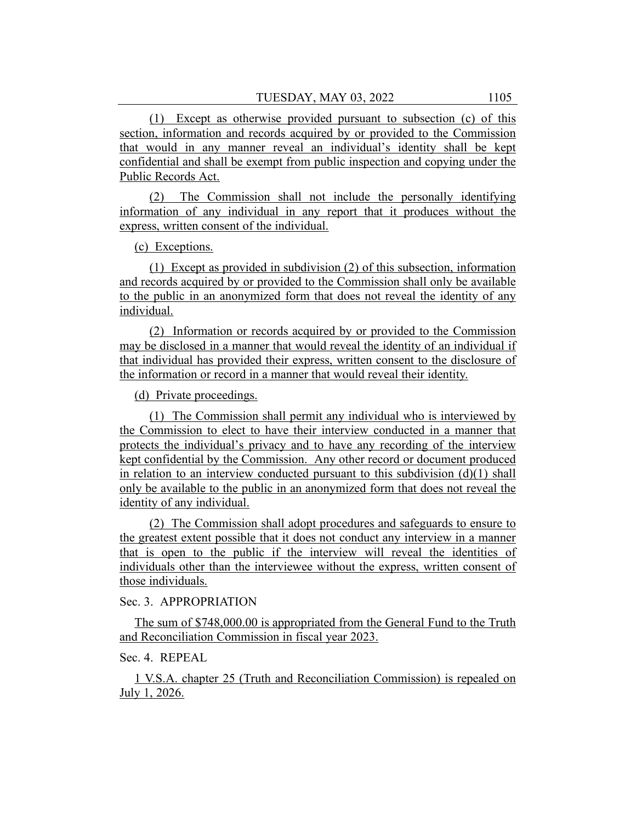(1) Except as otherwise provided pursuant to subsection (c) of this section, information and records acquired by or provided to the Commission that would in any manner reveal an individual's identity shall be kept confidential and shall be exempt from public inspection and copying under the Public Records Act.

(2) The Commission shall not include the personally identifying information of any individual in any report that it produces without the express, written consent of the individual.

(c) Exceptions.

(1) Except as provided in subdivision (2) of this subsection, information and records acquired by or provided to the Commission shall only be available to the public in an anonymized form that does not reveal the identity of any individual.

(2) Information or records acquired by or provided to the Commission may be disclosed in a manner that would reveal the identity of an individual if that individual has provided their express, written consent to the disclosure of the information or record in a manner that would reveal their identity.

(d) Private proceedings.

(1) The Commission shall permit any individual who is interviewed by the Commission to elect to have their interview conducted in a manner that protects the individual's privacy and to have any recording of the interview kept confidential by the Commission. Any other record or document produced in relation to an interview conducted pursuant to this subdivision  $(d)(1)$  shall only be available to the public in an anonymized form that does not reveal the identity of any individual.

(2) The Commission shall adopt procedures and safeguards to ensure to the greatest extent possible that it does not conduct any interview in a manner that is open to the public if the interview will reveal the identities of individuals other than the interviewee without the express, written consent of those individuals.

Sec. 3. APPROPRIATION

The sum of \$748,000.00 is appropriated from the General Fund to the Truth and Reconciliation Commission in fiscal year 2023.

Sec. 4. REPEAL

1 V.S.A. chapter 25 (Truth and Reconciliation Commission) is repealed on July 1, 2026.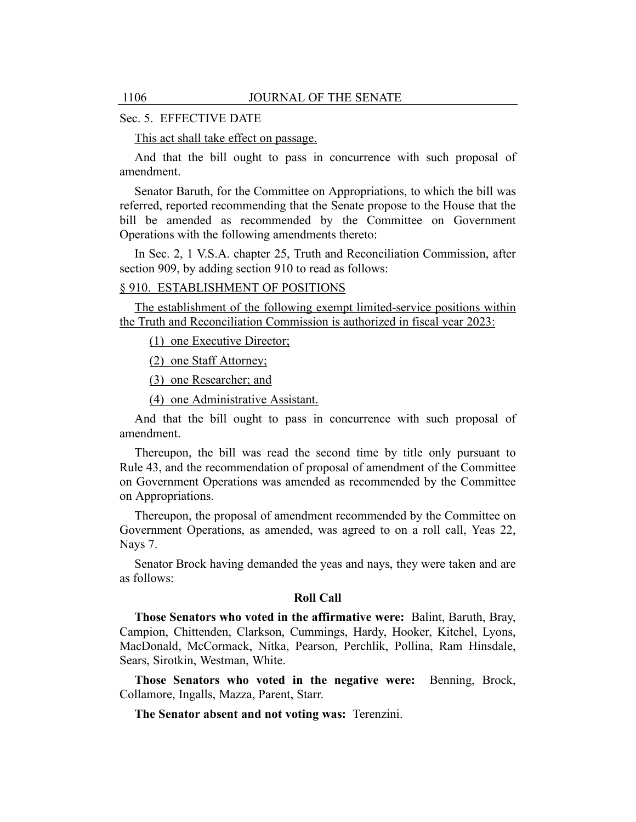## Sec. 5. EFFECTIVE DATE

This act shall take effect on passage.

And that the bill ought to pass in concurrence with such proposal of amendment.

Senator Baruth, for the Committee on Appropriations, to which the bill was referred, reported recommending that the Senate propose to the House that the bill be amended as recommended by the Committee on Government Operations with the following amendments thereto:

In Sec. 2, 1 V.S.A. chapter 25, Truth and Reconciliation Commission, after section 909, by adding section 910 to read as follows:

## § 910. ESTABLISHMENT OF POSITIONS

The establishment of the following exempt limited-service positions within the Truth and Reconciliation Commission is authorized in fiscal year 2023:

(1) one Executive Director;

(2) one Staff Attorney;

(3) one Researcher; and

(4) one Administrative Assistant.

And that the bill ought to pass in concurrence with such proposal of amendment.

Thereupon, the bill was read the second time by title only pursuant to Rule 43, and the recommendation of proposal of amendment of the Committee on Government Operations was amended as recommended by the Committee on Appropriations.

Thereupon, the proposal of amendment recommended by the Committee on Government Operations, as amended, was agreed to on a roll call, Yeas 22, Nays 7.

Senator Brock having demanded the yeas and nays, they were taken and are as follows:

#### **Roll Call**

**Those Senators who voted in the affirmative were:** Balint, Baruth, Bray, Campion, Chittenden, Clarkson, Cummings, Hardy, Hooker, Kitchel, Lyons, MacDonald, McCormack, Nitka, Pearson, Perchlik, Pollina, Ram Hinsdale, Sears, Sirotkin, Westman, White.

**Those Senators who voted in the negative were:** Benning, Brock, Collamore, Ingalls, Mazza, Parent, Starr.

**The Senator absent and not voting was:** Terenzini.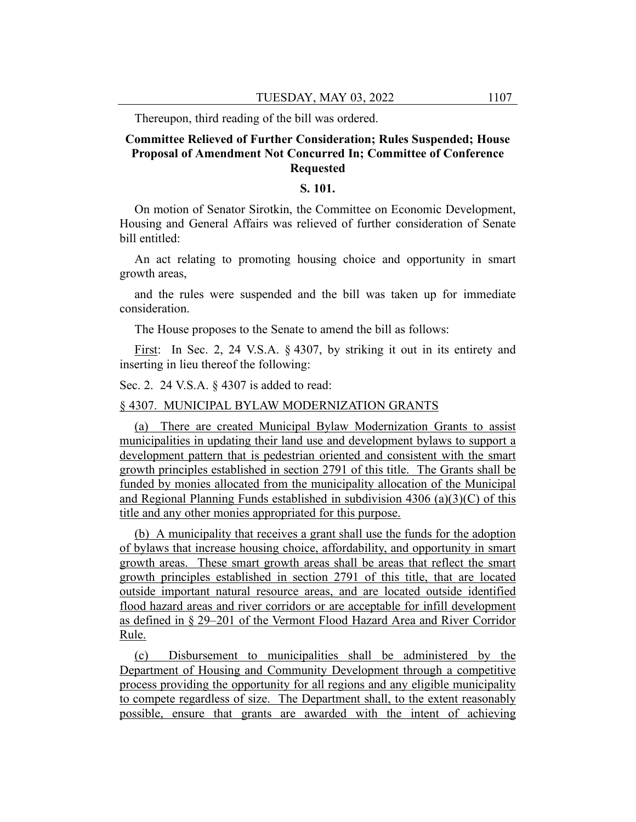Thereupon, third reading of the bill was ordered.

# **Committee Relieved of Further Consideration; Rules Suspended; House Proposal of Amendment Not Concurred In; Committee of Conference Requested**

## **S. 101.**

On motion of Senator Sirotkin, the Committee on Economic Development, Housing and General Affairs was relieved of further consideration of Senate bill entitled:

An act relating to promoting housing choice and opportunity in smart growth areas,

and the rules were suspended and the bill was taken up for immediate consideration.

The House proposes to the Senate to amend the bill as follows:

First: In Sec. 2, 24 V.S.A. § 4307, by striking it out in its entirety and inserting in lieu thereof the following:

Sec. 2. 24 V.S.A. § 4307 is added to read:

#### § 4307. MUNICIPAL BYLAW MODERNIZATION GRANTS

(a) There are created Municipal Bylaw Modernization Grants to assist municipalities in updating their land use and development bylaws to support a development pattern that is pedestrian oriented and consistent with the smart growth principles established in section 2791 of this title. The Grants shall be funded by monies allocated from the municipality allocation of the Municipal and Regional Planning Funds established in subdivision 4306 (a)(3)(C) of this title and any other monies appropriated for this purpose.

(b) A municipality that receives a grant shall use the funds for the adoption of bylaws that increase housing choice, affordability, and opportunity in smart growth areas. These smart growth areas shall be areas that reflect the smart growth principles established in section 2791 of this title, that are located outside important natural resource areas, and are located outside identified flood hazard areas and river corridors or are acceptable for infill development as defined in § 29–201 of the Vermont Flood Hazard Area and River Corridor Rule.

(c) Disbursement to municipalities shall be administered by the Department of Housing and Community Development through a competitive process providing the opportunity for all regions and any eligible municipality to compete regardless of size. The Department shall, to the extent reasonably possible, ensure that grants are awarded with the intent of achieving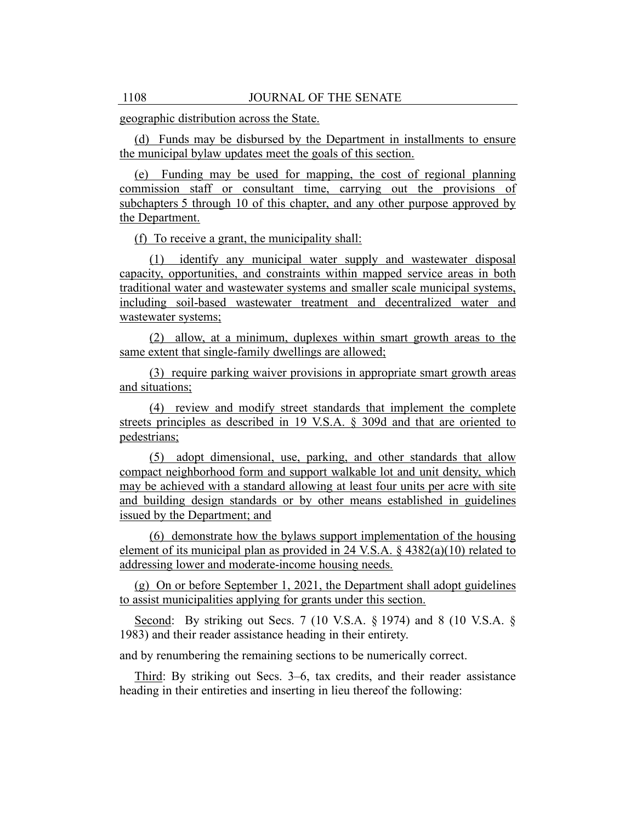geographic distribution across the State.

(d) Funds may be disbursed by the Department in installments to ensure the municipal bylaw updates meet the goals of this section.

(e) Funding may be used for mapping, the cost of regional planning commission staff or consultant time, carrying out the provisions of subchapters 5 through 10 of this chapter, and any other purpose approved by the Department.

(f) To receive a grant, the municipality shall:

(1) identify any municipal water supply and wastewater disposal capacity, opportunities, and constraints within mapped service areas in both traditional water and wastewater systems and smaller scale municipal systems, including soil-based wastewater treatment and decentralized water and wastewater systems;

(2) allow, at a minimum, duplexes within smart growth areas to the same extent that single-family dwellings are allowed;

(3) require parking waiver provisions in appropriate smart growth areas and situations;

(4) review and modify street standards that implement the complete streets principles as described in 19 V.S.A. § 309d and that are oriented to pedestrians;

(5) adopt dimensional, use, parking, and other standards that allow compact neighborhood form and support walkable lot and unit density, which may be achieved with a standard allowing at least four units per acre with site and building design standards or by other means established in guidelines issued by the Department; and

(6) demonstrate how the bylaws support implementation of the housing element of its municipal plan as provided in 24 V.S.A. § 4382(a)(10) related to addressing lower and moderate-income housing needs.

(g) On or before September 1, 2021, the Department shall adopt guidelines to assist municipalities applying for grants under this section.

Second: By striking out Secs. 7 (10 V.S.A. § 1974) and 8 (10 V.S.A. § 1983) and their reader assistance heading in their entirety.

and by renumbering the remaining sections to be numerically correct.

Third: By striking out Secs. 3–6, tax credits, and their reader assistance heading in their entireties and inserting in lieu thereof the following: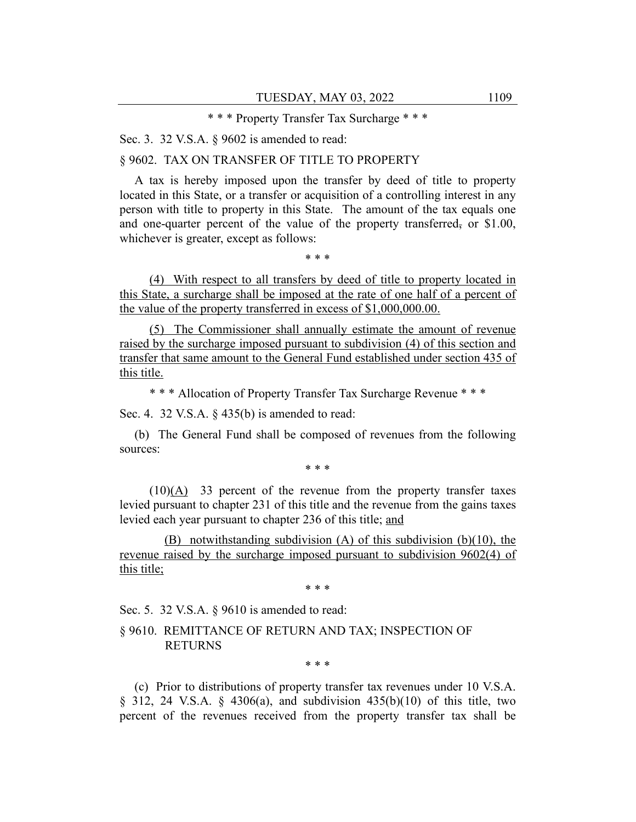\* \* \* Property Transfer Tax Surcharge \* \* \*

Sec. 3. 32 V.S.A. § 9602 is amended to read:

§ 9602. TAX ON TRANSFER OF TITLE TO PROPERTY

A tax is hereby imposed upon the transfer by deed of title to property located in this State, or a transfer or acquisition of a controlling interest in any person with title to property in this State. The amount of the tax equals one and one-quarter percent of the value of the property transferred, or  $$1.00$ , whichever is greater, except as follows:

\* \* \*

(4) With respect to all transfers by deed of title to property located in this State, a surcharge shall be imposed at the rate of one half of a percent of the value of the property transferred in excess of \$1,000,000.00.

(5) The Commissioner shall annually estimate the amount of revenue raised by the surcharge imposed pursuant to subdivision (4) of this section and transfer that same amount to the General Fund established under section 435 of this title.

\* \* \* Allocation of Property Transfer Tax Surcharge Revenue \* \* \*

Sec. 4. 32 V.S.A. § 435(b) is amended to read:

(b) The General Fund shall be composed of revenues from the following sources:

\* \* \*

 $(10)(A)$  33 percent of the revenue from the property transfer taxes levied pursuant to chapter 231 of this title and the revenue from the gains taxes levied each year pursuant to chapter 236 of this title; and

(B) notwithstanding subdivision (A) of this subdivision (b)(10), the revenue raised by the surcharge imposed pursuant to subdivision 9602(4) of this title;

\* \* \*

Sec. 5. 32 V.S.A. § 9610 is amended to read:

## § 9610. REMITTANCE OF RETURN AND TAX; INSPECTION OF RETURNS

\* \* \*

(c) Prior to distributions of property transfer tax revenues under 10 V.S.A. § 312, 24 V.S.A. § 4306(a), and subdivision 435(b)(10) of this title, two percent of the revenues received from the property transfer tax shall be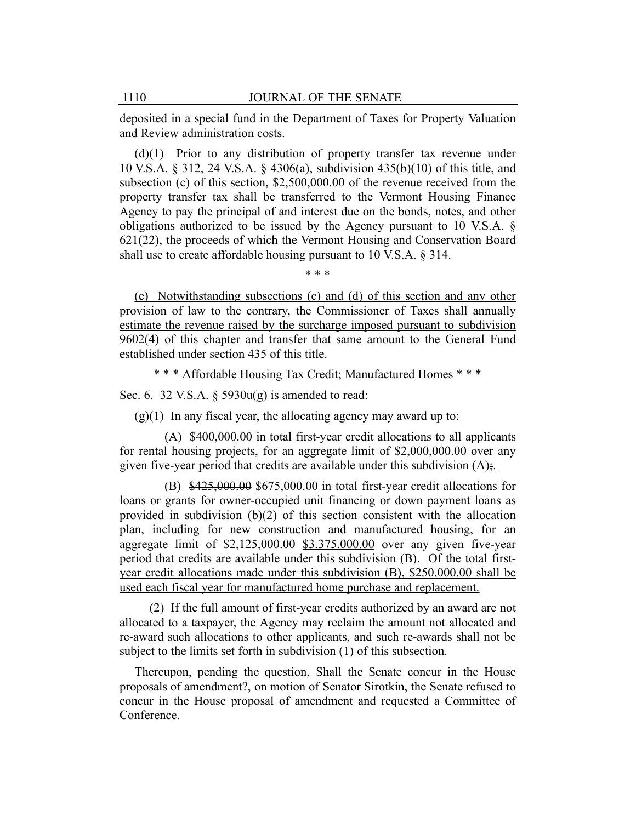deposited in a special fund in the Department of Taxes for Property Valuation and Review administration costs.

(d)(1) Prior to any distribution of property transfer tax revenue under 10 V.S.A. § 312, 24 V.S.A. § 4306(a), subdivision 435(b)(10) of this title, and subsection (c) of this section, \$2,500,000.00 of the revenue received from the property transfer tax shall be transferred to the Vermont Housing Finance Agency to pay the principal of and interest due on the bonds, notes, and other obligations authorized to be issued by the Agency pursuant to 10 V.S.A. § 621(22), the proceeds of which the Vermont Housing and Conservation Board shall use to create affordable housing pursuant to 10 V.S.A. § 314.

\* \* \*

(e) Notwithstanding subsections (c) and (d) of this section and any other provision of law to the contrary, the Commissioner of Taxes shall annually estimate the revenue raised by the surcharge imposed pursuant to subdivision 9602(4) of this chapter and transfer that same amount to the General Fund established under section 435 of this title.

\* \* \* Affordable Housing Tax Credit; Manufactured Homes \* \* \*

Sec. 6. 32 V.S.A.  $\S$  5930u(g) is amended to read:

 $(g)(1)$  In any fiscal year, the allocating agency may award up to:

(A) \$400,000.00 in total first-year credit allocations to all applicants for rental housing projects, for an aggregate limit of \$2,000,000.00 over any given five-year period that credits are available under this subdivision  $(A)$ ;.

 $(B)$  \$425,000.00 \$675,000.00 in total first-year credit allocations for loans or grants for owner-occupied unit financing or down payment loans as provided in subdivision (b)(2) of this section consistent with the allocation plan, including for new construction and manufactured housing, for an aggregate limit of  $\frac{2,125,000.00}{2}$  \$3,375,000.00 over any given five-year period that credits are available under this subdivision (B). Of the total firstyear credit allocations made under this subdivision (B), \$250,000.00 shall be used each fiscal year for manufactured home purchase and replacement.

(2) If the full amount of first-year credits authorized by an award are not allocated to a taxpayer, the Agency may reclaim the amount not allocated and re-award such allocations to other applicants, and such re-awards shall not be subject to the limits set forth in subdivision (1) of this subsection.

Thereupon, pending the question, Shall the Senate concur in the House proposals of amendment?, on motion of Senator Sirotkin, the Senate refused to concur in the House proposal of amendment and requested a Committee of Conference.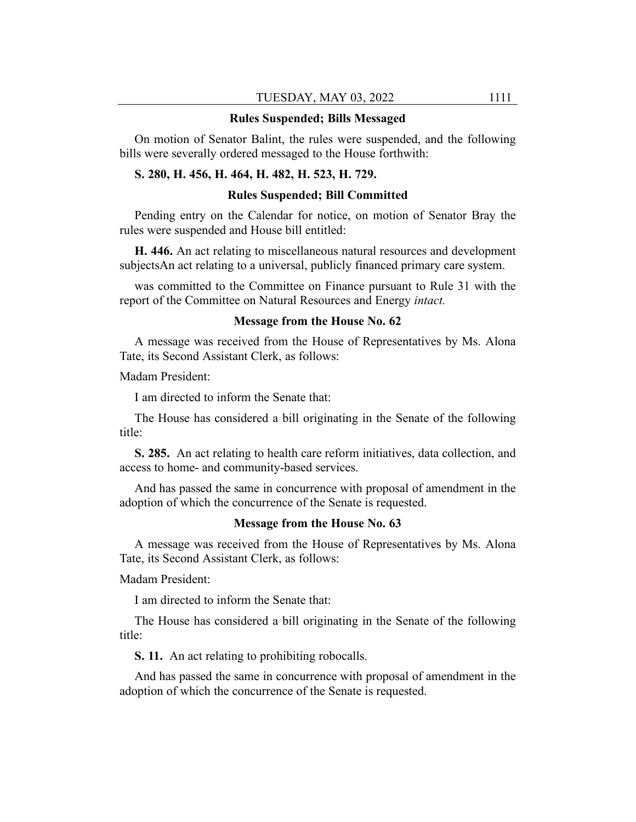#### **Rules Suspended; Bills Messaged**

On motion of Senator Balint, the rules were suspended, and the following bills were severally ordered messaged to the House forthwith:

# **S. 280, H. 456, H. 464, H. 482, H. 523, H. 729.**

#### **Rules Suspended; Bill Committed**

Pending entry on the Calendar for notice, on motion of Senator Bray the rules were suspended and House bill entitled:

**H. 446.** An act relating to miscellaneous natural resources and development subjectsAn act relating to a universal, publicly financed primary care system.

was committed to the Committee on Finance pursuant to Rule 31 with the report of the Committee on Natural Resources and Energy *intact.*

#### **Message from the House No. 62**

A message was received from the House of Representatives by Ms. Alona Tate, its Second Assistant Clerk, as follows:

Madam President:

I am directed to inform the Senate that:

The House has considered a bill originating in the Senate of the following title:

**S. 285.** An act relating to health care reform initiatives, data collection, and access to home- and community-based services.

And has passed the same in concurrence with proposal of amendment in the adoption of which the concurrence of the Senate is requested.

#### **Message from the House No. 63**

A message was received from the House of Representatives by Ms. Alona Tate, its Second Assistant Clerk, as follows:

Madam President:

I am directed to inform the Senate that:

The House has considered a bill originating in the Senate of the following title:

**S. 11.** An act relating to prohibiting robocalls.

And has passed the same in concurrence with proposal of amendment in the adoption of which the concurrence of the Senate is requested.